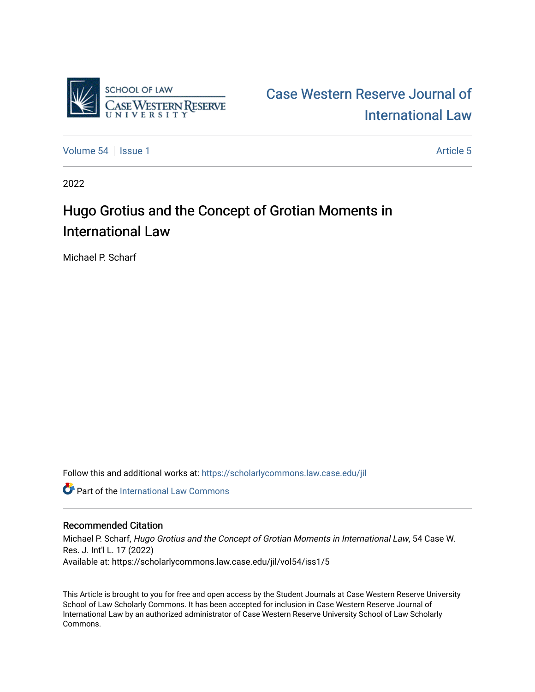

# [Case Western Reserve Journal of](https://scholarlycommons.law.case.edu/jil)  [International Law](https://scholarlycommons.law.case.edu/jil)

[Volume 54](https://scholarlycommons.law.case.edu/jil/vol54) Session 1 [Article 5](https://scholarlycommons.law.case.edu/jil/vol54/iss1/5) Article 5

2022

# Hugo Grotius and the Concept of Grotian Moments in International Law

Michael P. Scharf

Follow this and additional works at: [https://scholarlycommons.law.case.edu/jil](https://scholarlycommons.law.case.edu/jil?utm_source=scholarlycommons.law.case.edu%2Fjil%2Fvol54%2Fiss1%2F5&utm_medium=PDF&utm_campaign=PDFCoverPages) 

**Part of the International Law Commons** 

# Recommended Citation

Michael P. Scharf, Hugo Grotius and the Concept of Grotian Moments in International Law, 54 Case W. Res. J. Int'l L. 17 (2022) Available at: https://scholarlycommons.law.case.edu/jil/vol54/iss1/5

This Article is brought to you for free and open access by the Student Journals at Case Western Reserve University School of Law Scholarly Commons. It has been accepted for inclusion in Case Western Reserve Journal of International Law by an authorized administrator of Case Western Reserve University School of Law Scholarly Commons.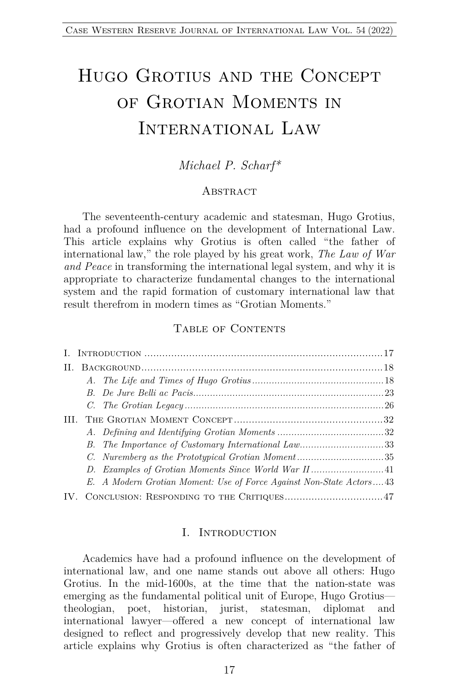# Hugo Grotius and the Concept of Grotian Moments in INTERNATIONAL LAW

## *Michael P. Scharf\**

#### **ABSTRACT**

The seventeenth-century academic and statesman, Hugo Grotius, had a profound influence on the development of International Law. This article explains why Grotius is often called "the father of international law," the role played by his great work, *The Law of War and Peace* in transforming the international legal system, and why it is appropriate to characterize fundamental changes to the international system and the rapid formation of customary international law that result therefrom in modern times as "Grotian Moments."

#### TABLE OF CONTENTS

| Н.  |                                                                     |  |
|-----|---------------------------------------------------------------------|--|
|     |                                                                     |  |
|     |                                                                     |  |
|     |                                                                     |  |
| HL. |                                                                     |  |
|     |                                                                     |  |
|     | B. The Importance of Customary International Law33                  |  |
|     |                                                                     |  |
|     |                                                                     |  |
|     | E. A Modern Grotian Moment: Use of Force Against Non-State Actors43 |  |
|     |                                                                     |  |

#### I. Introduction

Academics have had a profound influence on the development of international law, and one name stands out above all others: Hugo Grotius. In the mid-1600s, at the time that the nation-state was emerging as the fundamental political unit of Europe, Hugo Grotius theologian, poet, historian, jurist, statesman, diplomat and international lawyer—offered a new concept of international law designed to reflect and progressively develop that new reality. This article explains why Grotius is often characterized as "the father of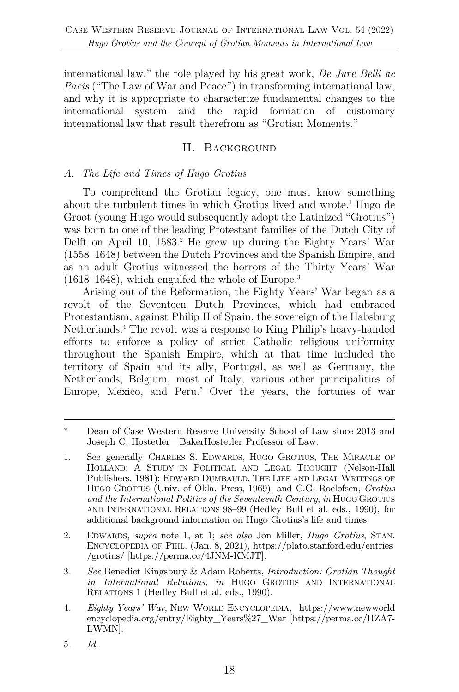international law," the role played by his great work, *De Jure Belli ac Pacis* ("The Law of War and Peace") in transforming international law, and why it is appropriate to characterize fundamental changes to the international system and the rapid formation of customary international law that result therefrom as "Grotian Moments."

### II. Background

### *A. The Life and Times of Hugo Grotius*

To comprehend the Grotian legacy, one must know something about the turbulent times in which Grotius lived and wrote.1 Hugo de Groot (young Hugo would subsequently adopt the Latinized "Grotius") was born to one of the leading Protestant families of the Dutch City of Delft on April 10, 1583.<sup>2</sup> He grew up during the Eighty Years' War (1558–1648) between the Dutch Provinces and the Spanish Empire, and as an adult Grotius witnessed the horrors of the Thirty Years' War (1618–1648), which engulfed the whole of Europe.3

Arising out of the Reformation, the Eighty Years' War began as a revolt of the Seventeen Dutch Provinces, which had embraced Protestantism, against Philip II of Spain, the sovereign of the Habsburg Netherlands.4 The revolt was a response to King Philip's heavy-handed efforts to enforce a policy of strict Catholic religious uniformity throughout the Spanish Empire, which at that time included the territory of Spain and its ally, Portugal, as well as Germany, the Netherlands, Belgium, most of Italy, various other principalities of Europe, Mexico, and Peru. <sup>5</sup> Over the years, the fortunes of war

- 1. See generally CHARLES S. EDWARDS, HUGO GROTIUS, THE MIRACLE OF HOLLAND: A STUDY IN POLITICAL AND LEGAL THOUGHT (Nelson-Hall Publishers, 1981); EDWARD DUMBAULD, THE LIFE AND LEGAL WRITINGS OF HUGO GROTIUS (Univ. of Okla. Press, 1969); and C.G. Roelofsen, *Grotius and the International Politics of the Seventeenth Century*, *in* HUGO GROTIUS AND INTERNATIONAL RELATIONS 98–99 (Hedley Bull et al. eds., 1990), for additional background information on Hugo Grotius's life and times.
- 2. EDWARDS, *supra* note 1, at 1; *see also* Jon Miller, *Hugo Grotius*, STAN. ENCYCLOPEDIA OF PHIL. (Jan. 8, 2021), https://plato.stanford.edu/entries /grotius/ [https://perma.cc/4JNM-KMJT**]**.
- 3*. See* Benedict Kingsbury & Adam Roberts, *Introduction: Grotian Thought in International Relations*, *in* HUGO GROTIUS AND INTERNATIONAL RELATIONS 1 (Hedley Bull et al. eds., 1990).
- 4*. Eighty Years' War*, NEW WORLD ENCYCLOPEDIA, https://www.newworld encyclopedia.org/entry/Eighty\_Years%27\_War [https://perma.cc/HZA7- LWMN].
- 5*. Id.*

<sup>\*</sup> Dean of Case Western Reserve University School of Law since 2013 and Joseph C. Hostetler—BakerHostetler Professor of Law.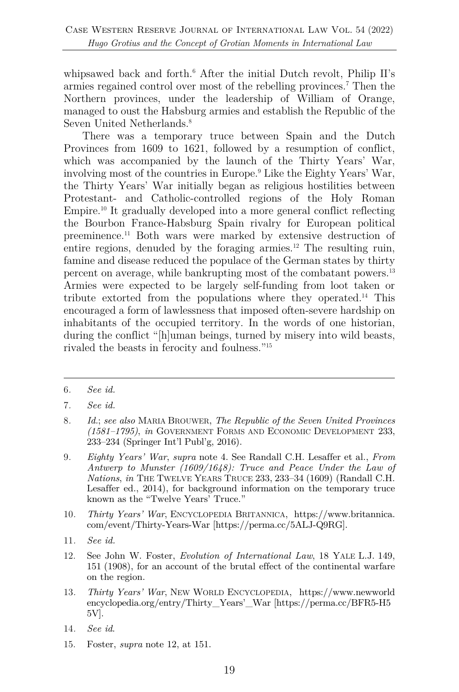whipsawed back and forth. <sup>6</sup> After the initial Dutch revolt, Philip II's armies regained control over most of the rebelling provinces.7 Then the Northern provinces, under the leadership of William of Orange, managed to oust the Habsburg armies and establish the Republic of the Seven United Netherlands.<sup>8</sup>

There was a temporary truce between Spain and the Dutch Provinces from 1609 to 1621, followed by a resumption of conflict, which was accompanied by the launch of the Thirty Years' War, involving most of the countries in Europe.9 Like the Eighty Years' War, the Thirty Years' War initially began as religious hostilities between Protestant- and Catholic-controlled regions of the Holy Roman Empire.<sup>10</sup> It gradually developed into a more general conflict reflecting the Bourbon France-Habsburg Spain rivalry for European political preeminence.11 Both wars were marked by extensive destruction of entire regions, denuded by the foraging armies.<sup>12</sup> The resulting ruin, famine and disease reduced the populace of the German states by thirty percent on average, while bankrupting most of the combatant powers.13 Armies were expected to be largely self-funding from loot taken or tribute extorted from the populations where they operated.14 This encouraged a form of lawlessness that imposed often-severe hardship on inhabitants of the occupied territory. In the words of one historian, during the conflict "[h]uman beings, turned by misery into wild beasts, rivaled the beasts in ferocity and foulness."15

- 9*. Eighty Years' War*, *supra* note 4. See Randall C.H. Lesaffer et al., *From Antwerp to Munster (1609/1648): Truce and Peace Under the Law of Nations*, *in* THE TWELVE YEARS TRUCE 233, 233–34 (1609) (Randall C.H. Lesaffer ed., 2014), for background information on the temporary truce known as the "Twelve Years' Truce."
- 10*. Thirty Years' War*, ENCYCLOPEDIA BRITANNICA, https://www.britannica. com/event/Thirty-Years-War [https://perma.cc/5ALJ-Q9RG].
- 11*. See id.*
- 12. See John W. Foster, *Evolution of International Law*, 18 YALE L.J. 149, 151 (1908), for an account of the brutal effect of the continental warfare on the region.
- 13*. Thirty Years' War*, NEW WORLD ENCYCLOPEDIA, https://www.newworld encyclopedia.org/entry/Thirty\_Years'\_War [https://perma.cc/BFR5-H5 5V].
- 14*. See id*.
- 15. Foster, *supra* note 12, at 151.

<sup>6</sup>*. See id.*

<sup>7</sup>*. See id.*

<sup>8</sup>*. Id.*; *see also* MARIA BROUWER, *The Republic of the Seven United Provinces (1581–1795)*, *in* GOVERNMENT FORMS AND ECONOMIC DEVELOPMENT 233, 233–234 (Springer Int'l Publ'g, 2016).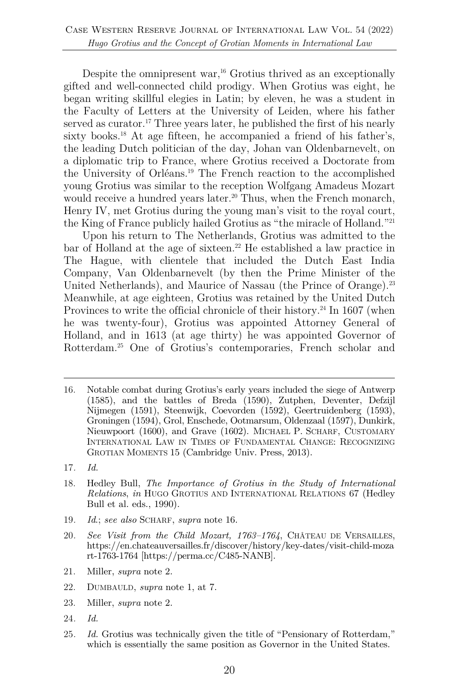Despite the omnipresent war, $^{16}$  Grotius thrived as an exceptionally gifted and well-connected child prodigy. When Grotius was eight, he began writing skillful elegies in Latin; by eleven, he was a student in the Faculty of Letters at the University of Leiden, where his father served as curator.<sup>17</sup> Three years later, he published the first of his nearly sixty books.<sup>18</sup> At age fifteen, he accompanied a friend of his father's, the leading Dutch politician of the day, Johan van Oldenbarnevelt, on a diplomatic trip to France, where Grotius received a Doctorate from the University of Orléans.19 The French reaction to the accomplished young Grotius was similar to the reception Wolfgang Amadeus Mozart would receive a hundred years later.<sup>20</sup> Thus, when the French monarch, Henry IV, met Grotius during the young man's visit to the royal court, the King of France publicly hailed Grotius as "the miracle of Holland."21

Upon his return to The Netherlands, Grotius was admitted to the  $\alpha$  bar of Holland at the age of sixteen.<sup>22</sup> He established a law practice in The Hague, with clientele that included the Dutch East India Company, Van Oldenbarnevelt (by then the Prime Minister of the United Netherlands), and Maurice of Nassau (the Prince of Orange).<sup>23</sup> Meanwhile, at age eighteen, Grotius was retained by the United Dutch Provinces to write the official chronicle of their history.<sup>24</sup> In 1607 (when he was twenty-four), Grotius was appointed Attorney General of Holland, and in 1613 (at age thirty) he was appointed Governor of Rotterdam.25 One of Grotius's contemporaries, French scholar and

- 18. Hedley Bull, *The Importance of Grotius in the Study of International Relations*, *in* HUGO GROTIUS AND INTERNATIONAL RELATIONS 67 (Hedley Bull et al. eds., 1990).
- 19*. Id*.; *see also* SCHARF, *supra* note 16.
- 20*. See Visit from the Child Mozart, 1763–1764*, CHÂTEAU DE VERSAILLES, https://en.chateauversailles.fr/discover/history/key-dates/visit-child-moza rt-1763-1764 [https://perma.cc/C485-NANB].
- 21. Miller, *supra* note 2.
- 22. DUMBAULD, *supra* note 1, at 7.
- 23. Miller, *supra* note 2.
- 24*. Id.*
- 25*. Id.* Grotius was technically given the title of "Pensionary of Rotterdam," which is essentially the same position as Governor in the United States.

<sup>16.</sup> Notable combat during Grotius's early years included the siege of Antwerp (1585), and the battles of Breda (1590), Zutphen, Deventer, Defzijl Nijmegen (1591), Steenwijk, Coevorden (1592), Geertruidenberg (1593), Groningen (1594), Grol, Enschede, Ootmarsum, Oldenzaal (1597), Dunkirk, Nieuwpoort (1600), and Grave (1602). MICHAEL P. SCHARF, CUSTOMARY INTERNATIONAL LAW IN TIMES OF FUNDAMENTAL CHANGE: RECOGNIZING GROTIAN MOMENTS 15 (Cambridge Univ. Press, 2013).

<sup>17</sup>*. Id.*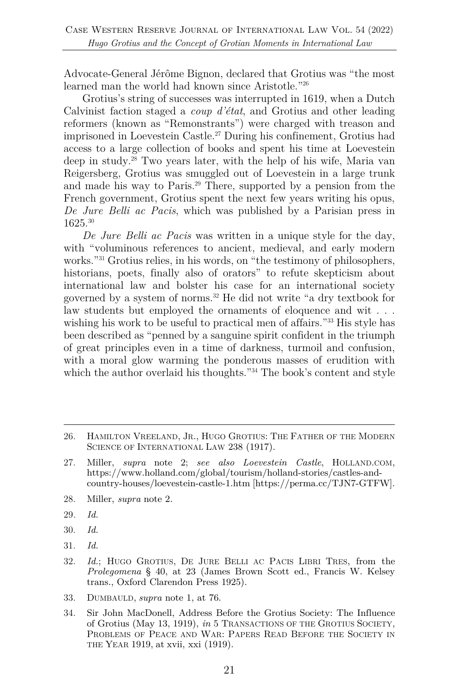Advocate-General Jérôme Bignon, declared that Grotius was "the most learned man the world had known since Aristotle."26

Grotius's string of successes was interrupted in 1619, when a Dutch Calvinist faction staged a *coup d'état*, and Grotius and other leading reformers (known as "Remonstrants") were charged with treason and imprisoned in Loevestein Castle. <sup>27</sup> During his confinement, Grotius had access to a large collection of books and spent his time at Loevestein deep in study.28 Two years later, with the help of his wife, Maria van Reigersberg, Grotius was smuggled out of Loevestein in a large trunk and made his way to Paris.29 There, supported by a pension from the French government, Grotius spent the next few years writing his opus, *De Jure Belli ac Pacis*, which was published by a Parisian press in 1625.30

*De Jure Belli ac Pacis* was written in a unique style for the day, with "voluminous references to ancient, medieval, and early modern works."31 Grotius relies, in his words, on "the testimony of philosophers, historians, poets, finally also of orators" to refute skepticism about international law and bolster his case for an international society governed by a system of norms.32 He did not write "a dry textbook for law students but employed the ornaments of eloquence and wit . . . wishing his work to be useful to practical men of affairs."<sup>33</sup> His style has been described as "penned by a sanguine spirit confident in the triumph of great principles even in a time of darkness, turmoil and confusion, with a moral glow warming the ponderous masses of erudition with which the author overlaid his thoughts.<sup>"34</sup> The book's content and style

- 28. Miller, *supra* note 2.
- 29*. Id.*
- 30. *Id.*
- 31. *Id.*

- 33. DUMBAULD, *supra* note 1, at 76.
- 34. Sir John MacDonell, Address Before the Grotius Society: The Influence of Grotius (May 13, 1919), *in* 5 TRANSACTIONS OF THE GROTIUS SOCIETY, PROBLEMS OF PEACE AND WAR: PAPERS READ BEFORE THE SOCIETY IN THE YEAR 1919, at xvii, xxi (1919).

<sup>26.</sup> HAMILTON VREELAND, JR., HUGO GROTIUS: THE FATHER OF THE MODERN SCIENCE OF INTERNATIONAL LAW 238 (1917).

<sup>27.</sup> Miller, *supra* note 2; *see also Loevestein Castle*, HOLLAND.COM, https://www.holland.com/global/tourism/holland-stories/castles-andcountry-houses/loevestein-castle-1.htm [https://perma.cc/TJN7-GTFW].

<sup>32.</sup> *Id.*; HUGO GROTIUS, DE JURE BELLI AC PACIS LIBRI TRES, from the *Prolegomena* § 40, at 23 (James Brown Scott ed., Francis W. Kelsey trans., Oxford Clarendon Press 1925).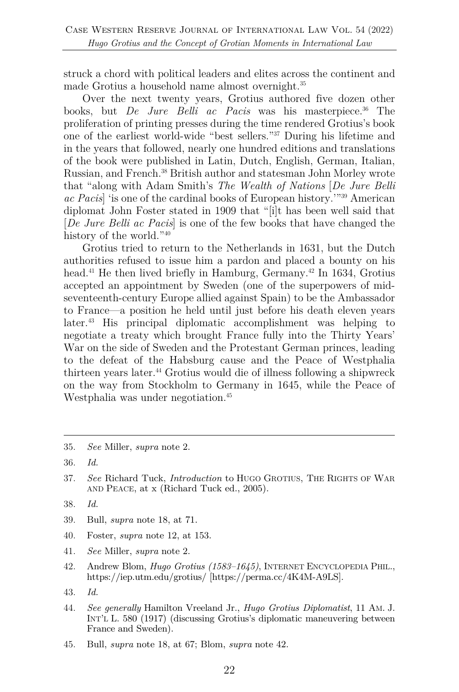struck a chord with political leaders and elites across the continent and made Grotius a household name almost overnight.35

Over the next twenty years, Grotius authored five dozen other books, but *De Jure Belli ac Pacis* was his masterpiece.<sup>36</sup> The proliferation of printing presses during the time rendered Grotius's book one of the earliest world-wide "best sellers."37 During his lifetime and in the years that followed, nearly one hundred editions and translations of the book were published in Latin, Dutch, English, German, Italian, Russian, and French.38 British author and statesman John Morley wrote that "along with Adam Smith's *The Wealth of Nations* [*De Jure Belli ac Pacis*] 'is one of the cardinal books of European history.'"39 American diplomat John Foster stated in 1909 that "[i]t has been well said that [*De Jure Belli ac Pacis*] is one of the few books that have changed the history of the world."<sup>40</sup>

Grotius tried to return to the Netherlands in 1631, but the Dutch authorities refused to issue him a pardon and placed a bounty on his head.<sup>41</sup> He then lived briefly in Hamburg, Germany.<sup>42</sup> In 1634, Grotius accepted an appointment by Sweden (one of the superpowers of midseventeenth-century Europe allied against Spain) to be the Ambassador to France—a position he held until just before his death eleven years later.43 His principal diplomatic accomplishment was helping to negotiate a treaty which brought France fully into the Thirty Years' War on the side of Sweden and the Protestant German princes, leading to the defeat of the Habsburg cause and the Peace of Westphalia thirteen years later.44 Grotius would die of illness following a shipwreck on the way from Stockholm to Germany in 1645, while the Peace of Westphalia was under negotiation.<sup>45</sup>

- 38. *Id.*
- 39. Bull, *supra* note 18, at 71.
- 40. Foster, *supra* note 12, at 153.
- 41. *See* Miller, *supra* note 2.
- 42. Andrew Blom, *Hugo Grotius (1583–1645)*, INTERNET ENCYCLOPEDIA PHIL., https://iep.utm.edu/grotius/ [https://perma.cc/4K4M-A9LS].
- 43. *Id.*
- 44. *See generally* Hamilton Vreeland Jr., *Hugo Grotius Diplomatist*, 11 AM. J. INT'L L. 580 (1917) (discussing Grotius's diplomatic maneuvering between France and Sweden).
- 45. Bull, *supra* note 18, at 67; Blom, *supra* note 42.

<sup>35.</sup> *See* Miller, *supra* note 2.

<sup>36.</sup> *Id.*

<sup>37.</sup> *See* Richard Tuck, *Introduction* to HUGO GROTIUS, THE RIGHTS OF WAR AND PEACE, at x (Richard Tuck ed., 2005).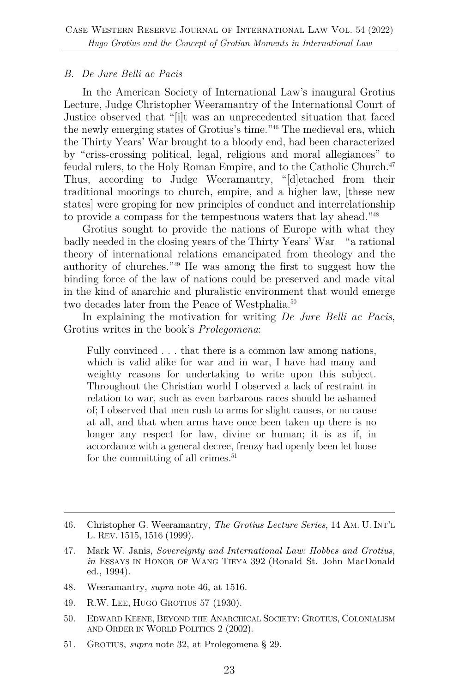#### *B. De Jure Belli ac Pacis*

In the American Society of International Law's inaugural Grotius Lecture, Judge Christopher Weeramantry of the International Court of Justice observed that "[i]t was an unprecedented situation that faced the newly emerging states of Grotius's time."46 The medieval era, which the Thirty Years' War brought to a bloody end, had been characterized by "criss-crossing political, legal, religious and moral allegiances" to feudal rulers, to the Holy Roman Empire, and to the Catholic Church. 47 Thus, according to Judge Weeramantry, "[d]etached from their traditional moorings to church, empire, and a higher law, [these new states] were groping for new principles of conduct and interrelationship to provide a compass for the tempestuous waters that lay ahead."48

Grotius sought to provide the nations of Europe with what they badly needed in the closing years of the Thirty Years' War—"a rational theory of international relations emancipated from theology and the authority of churches."49 He was among the first to suggest how the binding force of the law of nations could be preserved and made vital in the kind of anarchic and pluralistic environment that would emerge two decades later from the Peace of Westphalia.<sup>50</sup>

In explaining the motivation for writing *De Jure Belli ac Pacis*, Grotius writes in the book's *Prolegomena*:

Fully convinced . . . that there is a common law among nations, which is valid alike for war and in war, I have had many and weighty reasons for undertaking to write upon this subject. Throughout the Christian world I observed a lack of restraint in relation to war, such as even barbarous races should be ashamed of; I observed that men rush to arms for slight causes, or no cause at all, and that when arms have once been taken up there is no longer any respect for law, divine or human; it is as if, in accordance with a general decree, frenzy had openly been let loose for the committing of all crimes.<sup>51</sup>

- 48. Weeramantry, *supra* note 46, at 1516.
- 49. R.W. LEE, HUGO GROTIUS 57 (1930).
- 50. EDWARD KEENE, BEYOND THE ANARCHICAL SOCIETY: GROTIUS, COLONIALISM AND ORDER IN WORLD POLITICS 2 (2002).
- 51. GROTIUS, *supra* note 32, at Prolegomena § 29.

<sup>46.</sup> Christopher G. Weeramantry, *The Grotius Lecture Series*, 14 AM. U. INT'L L. REV. 1515, 1516 (1999).

<sup>47.</sup> Mark W. Janis, *Sovereignty and International Law: Hobbes and Grotius*, *in* ESSAYS IN HONOR OF WANG TIEYA 392 (Ronald St. John MacDonald ed., 1994).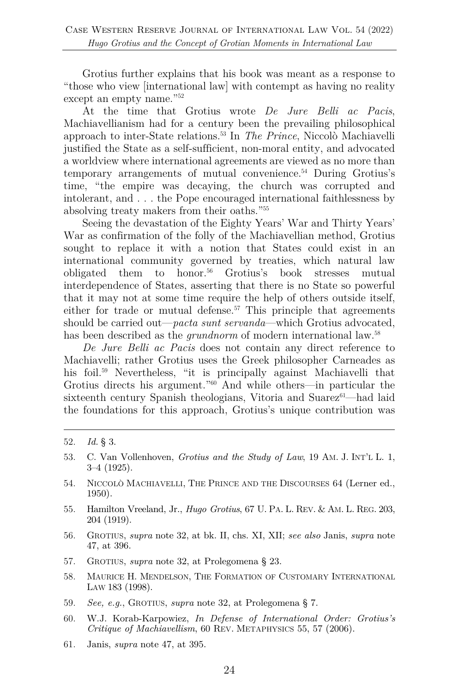Grotius further explains that his book was meant as a response to "those who view [international law] with contempt as having no reality except an empty name."<sup>52</sup>

At the time that Grotius wrote *De Jure Belli ac Pacis*, Machiavellianism had for a century been the prevailing philosophical approach to inter-State relations.53 In *The Prince*, Niccolò Machiavelli justified the State as a self-sufficient, non-moral entity, and advocated a worldview where international agreements are viewed as no more than temporary arrangements of mutual convenience.54 During Grotius's time, "the empire was decaying, the church was corrupted and intolerant, and . . . the Pope encouraged international faithlessness by absolving treaty makers from their oaths."55

Seeing the devastation of the Eighty Years' War and Thirty Years' War as confirmation of the folly of the Machiavellian method, Grotius sought to replace it with a notion that States could exist in an international community governed by treaties, which natural law obligated them to honor.56 Grotius's book stresses mutual interdependence of States, asserting that there is no State so powerful that it may not at some time require the help of others outside itself, either for trade or mutual defense.<sup>57</sup> This principle that agreements should be carried out—*pacta sunt servanda*—which Grotius advocated, has been described as the *grundnorm* of modern international law.<sup>58</sup>

*De Jure Belli ac Pacis* does not contain any direct reference to Machiavelli; rather Grotius uses the Greek philosopher Carneades as his foil.<sup>59</sup> Nevertheless, "it is principally against Machiavelli that Grotius directs his argument."60 And while others—in particular the sixteenth century Spanish theologians, Vitoria and Suarez ${}^{61}$ —had laid the foundations for this approach, Grotius's unique contribution was

- 56. GROTIUS, *supra* note 32, at bk. II, chs. XI, XII; *see also* Janis, *supra* note 47, at 396.
- 57. GROTIUS, *supra* note 32, at Prolegomena § 23.
- 58. MAURICE H. MENDELSON, THE FORMATION OF CUSTOMARY INTERNATIONAL LAW 183 (1998).
- 59. *See, e.g.*, GROTIUS, *supra* note 32, at Prolegomena § 7.
- 60. W.J. Korab-Karpowiez, *In Defense of International Order: Grotius's Critique of Machiavellism*, 60 REV. METAPHYSICS 55, 57 (2006).
- 61. Janis, *supra* note 47, at 395.

<sup>52.</sup> *Id.* § 3.

<sup>53.</sup> C. Van Vollenhoven, *Grotius and the Study of Law*, 19 AM. J. INT'L L. 1, 3–4 (1925).

<sup>54.</sup> NICCOLÒ MACHIAVELLI, THE PRINCE AND THE DISCOURSES 64 (Lerner ed., 1950).

<sup>55.</sup> Hamilton Vreeland, Jr., *Hugo Grotius*, 67 U. PA. L. REV. & AM. L. REG. 203, 204 (1919).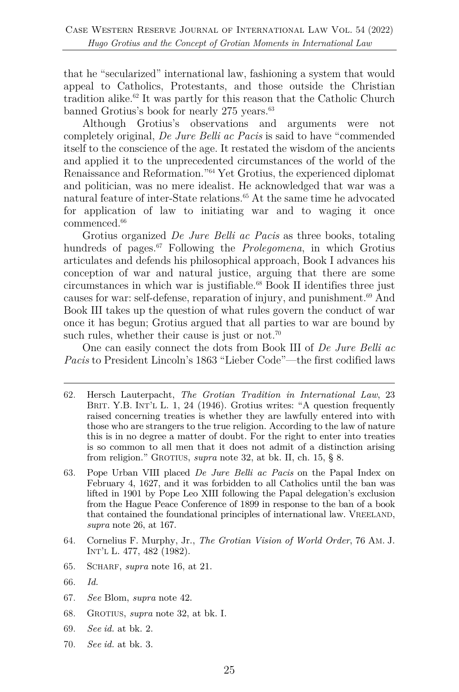that he "secularized" international law, fashioning a system that would appeal to Catholics, Protestants, and those outside the Christian tradition alike.<sup>62</sup> It was partly for this reason that the Catholic Church banned Grotius's book for nearly 275 years.<sup>63</sup>

Although Grotius's observations and arguments were not completely original, *De Jure Belli ac Pacis* is said to have "commended itself to the conscience of the age. It restated the wisdom of the ancients and applied it to the unprecedented circumstances of the world of the Renaissance and Reformation."64 Yet Grotius, the experienced diplomat and politician, was no mere idealist. He acknowledged that war was a natural feature of inter-State relations. $65$  At the same time he advocated for application of law to initiating war and to waging it once commenced. 66

Grotius organized *De Jure Belli ac Pacis* as three books, totaling hundreds of pages.<sup>67</sup> Following the *Prolegomena*, in which Grotius articulates and defends his philosophical approach, Book I advances his conception of war and natural justice, arguing that there are some circumstances in which war is justifiable.<sup>68</sup> Book II identifies three just causes for war: self-defense, reparation of injury, and punishment.<sup>69</sup> And Book III takes up the question of what rules govern the conduct of war once it has begun; Grotius argued that all parties to war are bound by such rules, whether their cause is just or not.<sup>70</sup>

One can easily connect the dots from Book III of *De Jure Belli ac Pacis* to President Lincoln's 1863 "Lieber Code"—the first codified laws

- 63. Pope Urban VIII placed *De Jure Belli ac Pacis* on the Papal Index on February 4, 1627, and it was forbidden to all Catholics until the ban was lifted in 1901 by Pope Leo XIII following the Papal delegation's exclusion from the Hague Peace Conference of 1899 in response to the ban of a book that contained the foundational principles of international law. VREELAND, *supra* note 26, at 167.
- 64. Cornelius F. Murphy, Jr., *The Grotian Vision of World Order*, 76 AM. J. INT'L L. 477, 482 (1982).
- 65. SCHARF, *supra* note 16, at 21.
- 66. *Id.*
- 67. *See* Blom, *supra* note 42.
- 68. GROTIUS, *supra* note 32, at bk. I.
- 69. *See id.* at bk. 2.
- 70. *See id.* at bk. 3.

<sup>62.</sup> Hersch Lauterpacht, *The Grotian Tradition in International Law*, 23 BRIT. Y.B. INT'L L. 1, 24 (1946). Grotius writes: "A question frequently raised concerning treaties is whether they are lawfully entered into with those who are strangers to the true religion. According to the law of nature this is in no degree a matter of doubt. For the right to enter into treaties is so common to all men that it does not admit of a distinction arising from religion." GROTIUS, *supra* note 32, at bk. II, ch. 15, § 8.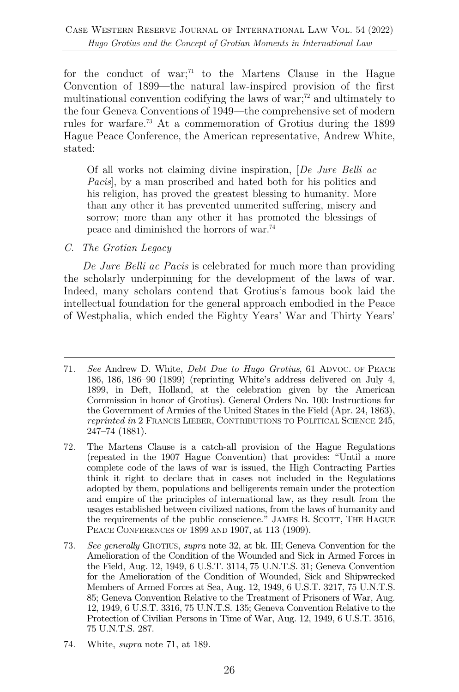for the conduct of war;<sup>71</sup> to the Martens Clause in the Hague Convention of 1899—the natural law-inspired provision of the first multinational convention codifying the laws of war;<sup>72</sup> and ultimately to the four Geneva Conventions of 1949—the comprehensive set of modern rules for warfare.73 At a commemoration of Grotius during the 1899 Hague Peace Conference, the American representative, Andrew White, stated:

Of all works not claiming divine inspiration, [*De Jure Belli ac Pacis*], by a man proscribed and hated both for his politics and his religion, has proved the greatest blessing to humanity. More than any other it has prevented unmerited suffering, misery and sorrow; more than any other it has promoted the blessings of peace and diminished the horrors of war.74

#### *C. The Grotian Legacy*

*De Jure Belli ac Pacis* is celebrated for much more than providing the scholarly underpinning for the development of the laws of war. Indeed, many scholars contend that Grotius's famous book laid the intellectual foundation for the general approach embodied in the Peace of Westphalia, which ended the Eighty Years' War and Thirty Years'

74. White, *supra* note 71, at 189.

<sup>71.</sup> *See* Andrew D. White, *Debt Due to Hugo Grotius*, 61 ADVOC. OF PEACE 186, 186, 186–90 (1899) (reprinting White's address delivered on July 4, 1899, in Deft, Holland, at the celebration given by the American Commission in honor of Grotius). General Orders No. 100: Instructions for the Government of Armies of the United States in the Field (Apr. 24, 1863), *reprinted in* 2 FRANCIS LIEBER, CONTRIBUTIONS TO POLITICAL SCIENCE 245, 247–74 (1881).

<sup>72.</sup> The Martens Clause is a catch-all provision of the Hague Regulations (repeated in the 1907 Hague Convention) that provides: "Until a more complete code of the laws of war is issued, the High Contracting Parties think it right to declare that in cases not included in the Regulations adopted by them, populations and belligerents remain under the protection and empire of the principles of international law, as they result from the usages established between civilized nations, from the laws of humanity and the requirements of the public conscience." JAMES B. SCOTT, THE HAGUE PEACE CONFERENCES OF 1899 AND 1907, at 113 (1909).

<sup>73.</sup> *See generally* GROTIUS, *supra* note 32, at bk. III; Geneva Convention for the Amelioration of the Condition of the Wounded and Sick in Armed Forces in the Field, Aug. 12, 1949, 6 U.S.T. 3114, 75 U.N.T.S. 31; Geneva Convention for the Amelioration of the Condition of Wounded, Sick and Shipwrecked Members of Armed Forces at Sea, Aug. 12, 1949, 6 U.S.T. 3217, 75 U.N.T.S. 85; Geneva Convention Relative to the Treatment of Prisoners of War, Aug. 12, 1949, 6 U.S.T. 3316, 75 U.N.T.S. 135; Geneva Convention Relative to the Protection of Civilian Persons in Time of War, Aug. 12, 1949, 6 U.S.T. 3516, 75 U.N.T.S. 287.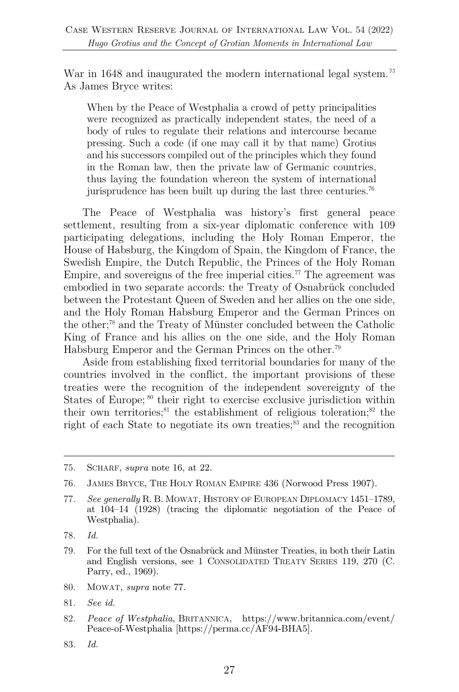War in 1648 and inaugurated the modern international legal system.*<sup>75</sup>* As James Bryce writes:

When by the Peace of Westphalia a crowd of petty principalities were recognized as practically independent states, the need of a body of rules to regulate their relations and intercourse became pressing. Such a code (if one may call it by that name) Grotius and his successors compiled out of the principles which they found in the Roman law, then the private law of Germanic countries, thus laying the foundation whereon the system of international jurisprudence has been built up during the last three centuries.76

The Peace of Westphalia was history's first general peace settlement, resulting from a six-year diplomatic conference with 109 participating delegations, including the Holy Roman Emperor, the House of Habsburg, the Kingdom of Spain, the Kingdom of France, the Swedish Empire, the Dutch Republic, the Princes of the Holy Roman Empire, and sovereigns of the free imperial cities.<sup> $77$ </sup> The agreement was embodied in two separate accords: the Treaty of Osnabrück concluded between the Protestant Queen of Sweden and her allies on the one side, and the Holy Roman Habsburg Emperor and the German Princes on the other;78 and the Treaty of Münster concluded between the Catholic King of France and his allies on the one side, and the Holy Roman Habsburg Emperor and the German Princes on the other.79

Aside from establishing fixed territorial boundaries for many of the countries involved in the conflict, the important provisions of these treaties were the recognition of the independent sovereignty of the States of Europe; <sup>80</sup> their right to exercise exclusive jurisdiction within their own territories;<sup>81</sup> the establishment of religious toleration;<sup>82</sup> the right of each State to negotiate its own treaties;<sup>83</sup> and the recognition

- 79. For the full text of the Osnabrück and Münster Treaties, in both their Latin and English versions, see 1 CONSOLIDATED TREATY SERIES 119, 270 (C. Parry, ed., 1969).
- 80. MOWAT, *supra* note 77.
- 81. *See id.*
- 82. *Peace of Westphalia*, BRITANNICA, https://www.britannica.com/event/ Peace-of-Westphalia [https://perma.cc/AF94-BHA5].
- 83. *Id.*

<sup>75.</sup> SCHARF, *supra* note 16, at 22.

<sup>76.</sup> JAMES BRYCE, THE HOLY ROMAN EMPIRE 436 (Norwood Press 1907).

<sup>77.</sup> *See generally* R. B. MOWAT, HISTORY OF EUROPEAN DIPLOMACY 1451–1789, at 104–14 (1928) (tracing the diplomatic negotiation of the Peace of Westphalia).

<sup>78.</sup> *Id.*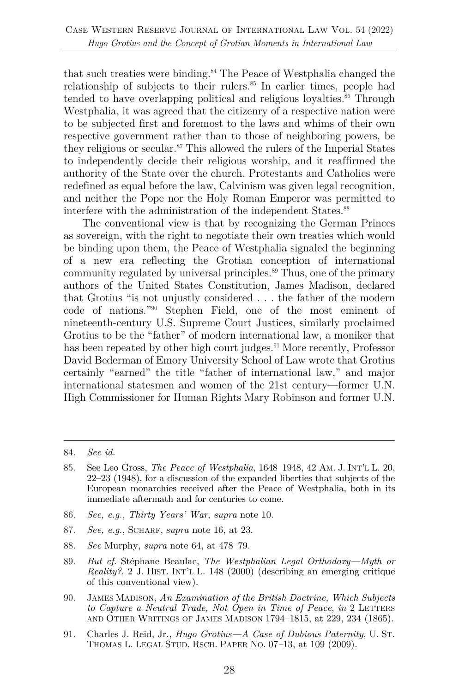that such treaties were binding.<sup>84</sup> The Peace of Westphalia changed the relationship of subjects to their rulers.<sup>85</sup> In earlier times, people had tended to have overlapping political and religious loyalties.<sup>86</sup> Through Westphalia, it was agreed that the citizenry of a respective nation were to be subjected first and foremost to the laws and whims of their own respective government rather than to those of neighboring powers, be they religious or secular.<sup>87</sup> This allowed the rulers of the Imperial States to independently decide their religious worship, and it reaffirmed the authority of the State over the church. Protestants and Catholics were redefined as equal before the law, Calvinism was given legal recognition, and neither the Pope nor the Holy Roman Emperor was permitted to interfere with the administration of the independent States.<sup>88</sup>

The conventional view is that by recognizing the German Princes as sovereign, with the right to negotiate their own treaties which would be binding upon them, the Peace of Westphalia signaled the beginning of a new era reflecting the Grotian conception of international community regulated by universal principles.<sup>89</sup> Thus, one of the primary authors of the United States Constitution, James Madison, declared that Grotius "is not unjustly considered . . . the father of the modern code of nations."90 Stephen Field, one of the most eminent of nineteenth-century U.S. Supreme Court Justices, similarly proclaimed Grotius to be the "father" of modern international law, a moniker that has been repeated by other high court judges.<sup>91</sup> More recently, Professor David Bederman of Emory University School of Law wrote that Grotius certainly "earned" the title "father of international law," and major international statesmen and women of the 21st century—former U.N. High Commissioner for Human Rights Mary Robinson and former U.N.

- 86. *See, e.g.*, *Thirty Years' War*, *supra* note 10.
- 87. *See, e.g.*, SCHARF, *supra* note 16, at 23.
- 88. *See* Murphy, *supra* note 64, at 478–79.
- 89. *But cf.* Stéphane Beaulac, *The Westphalian Legal Orthodoxy—Myth or Reality?*, 2 J. HIST. INT'L L. 148 (2000) (describing an emerging critique of this conventional view).
- 90. JAMES MADISON, *An Examination of the British Doctrine, Which Subjects to Capture a Neutral Trade, Not Open in Time of Peace*, *in* 2 LETTERS AND OTHER WRITINGS OF JAMES MADISON 1794–1815, at 229, 234 (1865).
- 91. Charles J. Reid, Jr., *Hugo Grotius—A Case of Dubious Paternity*, U. ST. THOMAS L. LEGAL STUD. RSCH. PAPER NO. 07*–*13, at 109 (2009).

<sup>84.</sup> *See id.*

<sup>85.</sup> See Leo Gross, *The Peace of Westphalia*, 1648–1948, 42 AM. J. INT'L L. 20, 22–23 (1948), for a discussion of the expanded liberties that subjects of the European monarchies received after the Peace of Westphalia, both in its immediate aftermath and for centuries to come.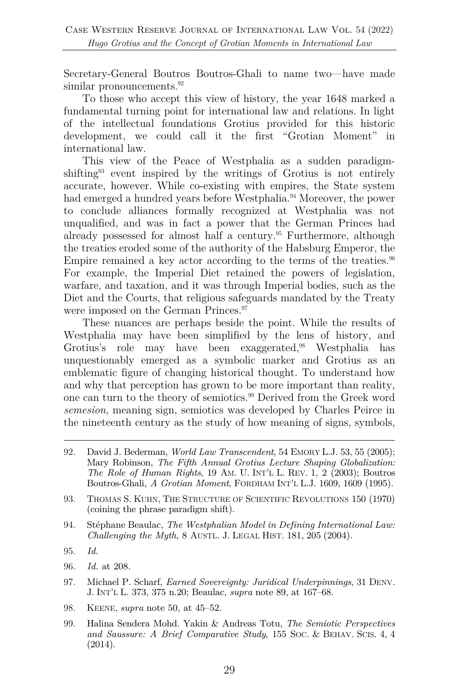Secretary-General Boutros Boutros-Ghali to name two—have made similar pronouncements.<sup>92</sup>

To those who accept this view of history, the year 1648 marked a fundamental turning point for international law and relations. In light of the intellectual foundations Grotius provided for this historic development, we could call it the first "Grotian Moment" in international law.

This view of the Peace of Westphalia as a sudden paradigmshifting<sup>93</sup> event inspired by the writings of Grotius is not entirely accurate, however. While co-existing with empires, the State system had emerged a hundred years before Westphalia.<sup>94</sup> Moreover, the power to conclude alliances formally recognized at Westphalia was not unqualified, and was in fact a power that the German Princes had already possessed for almost half a century.<sup>95</sup> Furthermore, although the treaties eroded some of the authority of the Habsburg Emperor, the Empire remained a key actor according to the terms of the treaties. $96$ For example, the Imperial Diet retained the powers of legislation, warfare, and taxation, and it was through Imperial bodies, such as the Diet and the Courts, that religious safeguards mandated by the Treaty were imposed on the German Princes.<sup>97</sup>

These nuances are perhaps beside the point. While the results of Westphalia may have been simplified by the lens of history, and Grotius's role may have been exaggerated,<sup>98</sup> Westphalia has unquestionably emerged as a symbolic marker and Grotius as an emblematic figure of changing historical thought. To understand how and why that perception has grown to be more important than reality, one can turn to the theory of semiotics. <sup>99</sup> Derived from the Greek word *semesion*, meaning sign, semiotics was developed by Charles Peirce in the nineteenth century as the study of how meaning of signs, symbols,

- 94. Stéphane Beaulac, *The Westphalian Model in Defining International Law: Challenging the Myth*, 8 AUSTL. J. LEGAL HIST. 181, 205 (2004).
- 95. *Id.*
- 96. *Id.* at 208.
- 97. Michael P. Scharf, *Earned Sovereignty: Juridical Underpinnings*, 31 DENV. J. INT'L L. 373, 375 n.20; Beaulac, *supra* note 89, at 167–68.
- 98. KEENE, *supra* note 50, at 45–52.
- 99. Halina Sendera Mohd. Yakin & Andreas Totu, *The Semiotic Perspectives and Saussure: A Brief Comparative Study*, 155 SOC. & BEHAV. SCIS. 4, 4 (2014).

<sup>92.</sup> David J. Bederman, *World Law Transcendent*, 54 EMORY L.J. 53, 55 (2005); Mary Robinson, *The Fifth Annual Grotius Lecture Shaping Globalization: The Role of Human Rights*, 19 AM. U. INT'L L. REV. 1, 2 (2003); Boutros Boutros-Ghali, *A Grotian Moment*, FORDHAM INT'L L.J. 1609, 1609 (1995).

<sup>93.</sup> THOMAS S. KUHN, THE STRUCTURE OF SCIENTIFIC REVOLUTIONS 150 (1970) (coining the phrase paradigm shift).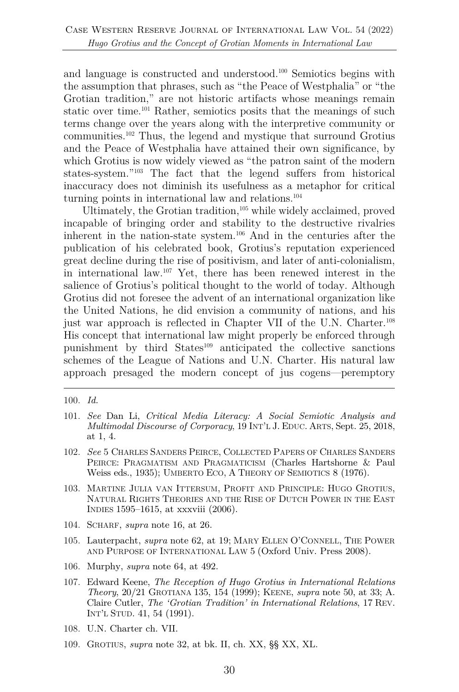and language is constructed and understood.100 Semiotics begins with the assumption that phrases, such as "the Peace of Westphalia" or "the Grotian tradition," are not historic artifacts whose meanings remain static over time.101 Rather, semiotics posits that the meanings of such terms change over the years along with the interpretive community or communities.102 Thus, the legend and mystique that surround Grotius and the Peace of Westphalia have attained their own significance, by which Grotius is now widely viewed as "the patron saint of the modern states-system."103 The fact that the legend suffers from historical inaccuracy does not diminish its usefulness as a metaphor for critical turning points in international law and relations.<sup>104</sup>

Ultimately, the Grotian tradition,<sup>105</sup> while widely acclaimed, proved incapable of bringing order and stability to the destructive rivalries inherent in the nation-state system.106 And in the centuries after the publication of his celebrated book, Grotius's reputation experienced great decline during the rise of positivism, and later of anti-colonialism, in international law.107 Yet, there has been renewed interest in the salience of Grotius's political thought to the world of today. Although Grotius did not foresee the advent of an international organization like the United Nations, he did envision a community of nations, and his just war approach is reflected in Chapter VII of the U.N. Charter. 108 His concept that international law might properly be enforced through punishment by third States<sup>109</sup> anticipated the collective sanctions schemes of the League of Nations and U.N. Charter. His natural law approach presaged the modern concept of jus cogens—peremptory

- 101. *See* Dan Li, *Critical Media Literacy: A Social Semiotic Analysis and Multimodal Discourse of Corporacy*, 19 INT'L J. EDUC. ARTS, Sept. 25, 2018, at 1, 4.
- 102. *See* 5 CHARLES SANDERS PEIRCE, COLLECTED PAPERS OF CHARLES SANDERS PEIRCE: PRAGMATISM AND PRAGMATICISM (Charles Hartshorne & Paul Weiss eds., 1935); UMBERTO ECO, A THEORY OF SEMIOTICS 8 (1976).
- 103. MARTINE JULIA VAN ITTERSUM, PROFIT AND PRINCIPLE: HUGO GROTIUS, NATURAL RIGHTS THEORIES AND THE RISE OF DUTCH POWER IN THE EAST INDIES 1595–1615, at xxxviii (2006).
- 104. SCHARF, *supra* note 16, at 26.
- 105. Lauterpacht, *supra* note 62, at 19; MARY ELLEN O'CONNELL, THE POWER AND PURPOSE OF INTERNATIONAL LAW 5 (Oxford Univ. Press 2008).
- 106. Murphy, *supra* note 64, at 492.
- 107. Edward Keene, *The Reception of Hugo Grotius in International Relations Theory*, 20/21 GROTIANA 135, 154 (1999); KEENE, *supra* note 50, at 33; A. Claire Cutler, *The 'Grotian Tradition' in International Relations*, 17 REV. INT'L STUD. 41, 54 (1991).
- 108. U.N. Charter ch. VII.
- 109. GROTIUS, *supra* note 32, at bk. II, ch. XX, §§ XX, XL.

<sup>100.</sup> *Id.*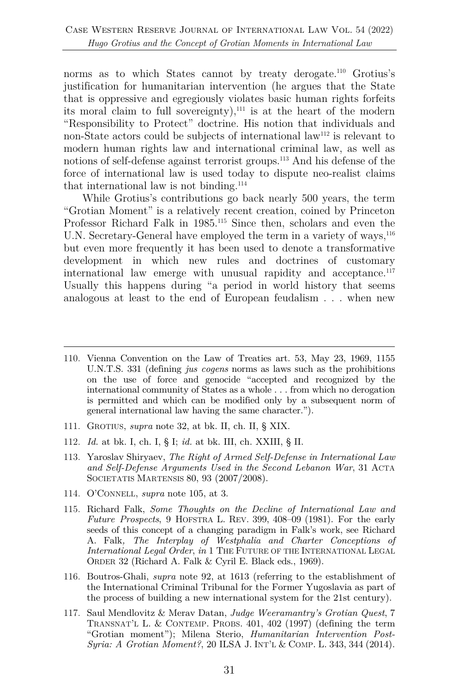norms as to which States cannot by treaty derogate.<sup>110</sup> Grotius's justification for humanitarian intervention (he argues that the State that is oppressive and egregiously violates basic human rights forfeits its moral claim to full sovereignty),<sup>111</sup> is at the heart of the modern "Responsibility to Protect" doctrine. His notion that individuals and non-State actors could be subjects of international law<sup>112</sup> is relevant to modern human rights law and international criminal law, as well as notions of self-defense against terrorist groups.<sup>113</sup> And his defense of the force of international law is used today to dispute neo-realist claims that international law is not binding.<sup>114</sup>

While Grotius's contributions go back nearly 500 years, the term "Grotian Moment" is a relatively recent creation, coined by Princeton Professor Richard Falk in 1985.<sup>115</sup> Since then, scholars and even the U.N. Secretary-General have employed the term in a variety of ways,  $^{116}$ but even more frequently it has been used to denote a transformative development in which new rules and doctrines of customary international law emerge with unusual rapidity and acceptance.117 Usually this happens during "a period in world history that seems analogous at least to the end of European feudalism . . . when new

- 111. GROTIUS, *supra* note 32, at bk. II, ch. II, § XIX.
- 112. *Id.* at bk. I, ch. I, § I; *id.* at bk. III, ch. XXIII, § II.
- 113. Yaroslav Shiryaev, *The Right of Armed Self-Defense in International Law and Self-Defense Arguments Used in the Second Lebanon War*, 31 ACTA SOCIETATIS MARTENSIS 80, 93 (2007/2008).
- 114. O'CONNELL, *supra* note 105, at 3.
- 115. Richard Falk, *Some Thoughts on the Decline of International Law and Future Prospects*, 9 HOFSTRA L. REV. 399, 408–09 (1981). For the early seeds of this concept of a changing paradigm in Falk's work, see Richard A. Falk*, The Interplay of Westphalia and Charter Conceptions of International Legal Order*, *in* 1 THE FUTURE OF THE INTERNATIONAL LEGAL ORDER 32 (Richard A. Falk & Cyril E. Black eds., 1969).
- 116. Boutros-Ghali, *supra* note 92, at 1613 (referring to the establishment of the International Criminal Tribunal for the Former Yugoslavia as part of the process of building a new international system for the 21st century).
- 117. Saul Mendlovitz & Merav Datan, *Judge Weeramantry's Grotian Quest*, 7 TRANSNAT'L L. & CONTEMP. PROBS. 401, 402 (1997) (defining the term "Grotian moment"); Milena Sterio, *Humanitarian Intervention Post-Syria: A Grotian Moment?*, 20 ILSA J. INT'L & COMP. L. 343, 344 (2014).

<sup>110.</sup> Vienna Convention on the Law of Treaties art. 53, May 23, 1969, 1155 U.N.T.S. 331 (defining *jus cogens* norms as laws such as the prohibitions on the use of force and genocide "accepted and recognized by the international community of States as a whole . . . from which no derogation is permitted and which can be modified only by a subsequent norm of general international law having the same character.").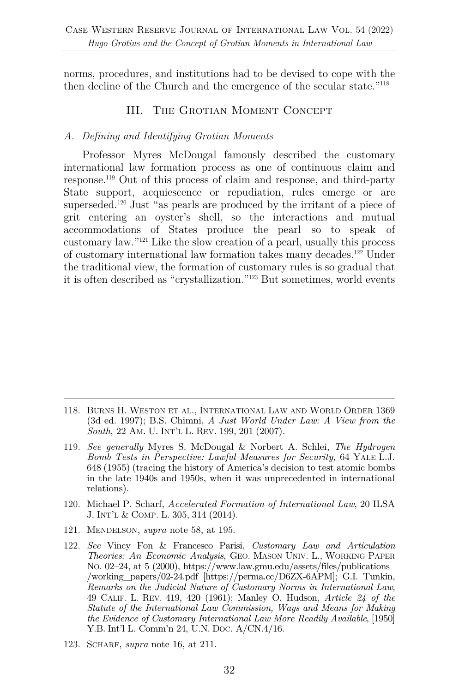norms, procedures, and institutions had to be devised to cope with the then decline of the Church and the emergence of the secular state."118

## III. The Grotian Moment Concept

### *A. Defining and Identifying Grotian Moments*

Professor Myres McDougal famously described the customary international law formation process as one of continuous claim and response.119 Out of this process of claim and response, and third-party State support, acquiescence or repudiation, rules emerge or are superseded.120 Just "as pearls are produced by the irritant of a piece of grit entering an oyster's shell, so the interactions and mutual accommodations of States produce the pearl—so to speak—of customary law."121 Like the slow creation of a pearl, usually this process of customary international law formation takes many decades.122 Under the traditional view, the formation of customary rules is so gradual that it is often described as "crystallization."123 But sometimes, world events

- 120. Michael P. Scharf, *Accelerated Formation of International Law*, 20 ILSA J. INT'L & COMP. L. 305, 314 (2014).
- 121. MENDELSON, *supra* note 58, at 195.
- 122. *See* Vincy Fon & Francesco Parisi, *Customary Law and Articulation Theories: An Economic Analysis*, GEO. MASON UNIV. L., WORKING PAPER NO. 02–24, at 5 (2000), https://www.law.gmu.edu/assets/files/publications /working\_papers/02-24.pdf [https://perma.cc/D6ZX-6APM]; G.I. Tunkin, *Remarks on the Judicial Nature of Customary Norms in International Law*, 49 CALIF. L. REV. 419, 420 (1961); Manley O. Hudson, *Article 24 of the Statute of the International Law Commission, Ways and Means for Making the Evidence of Customary International Law More Readily Available*, [1950] Y.B. Int'l L. Comm'n 24, U.N. DOC. A/CN.4/16.
- 123. SCHARF, *supra* note 16, at 211.

<sup>118.</sup> BURNS H. WESTON ET AL., INTERNATIONAL LAW AND WORLD ORDER 1369 (3d ed. 1997); B.S. Chimni, *A Just World Under Law: A View from the South*, 22 AM. U. INT'L L. REV. 199, 201 (2007).

<sup>119.</sup> *See generally* Myres S. McDougal & Norbert A. Schlei, *The Hydrogen Bomb Tests in Perspective: Lawful Measures for Security,* 64 YALE L.J. 648 (1955) (tracing the history of America's decision to test atomic bombs in the late 1940s and 1950s, when it was unprecedented in international relations).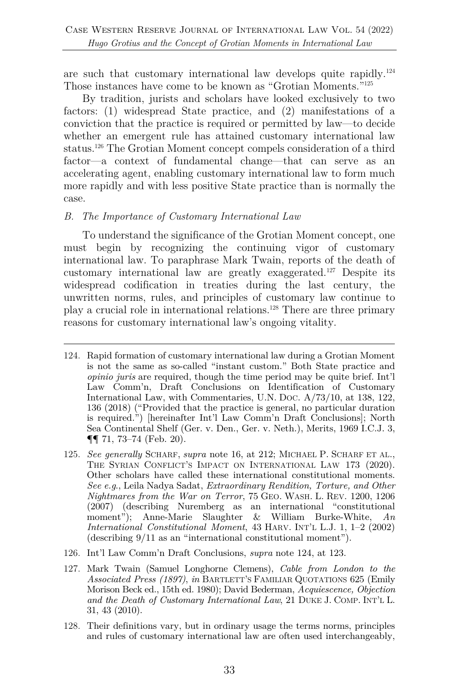are such that customary international law develops quite rapidly.124 Those instances have come to be known as "Grotian Moments."125

By tradition, jurists and scholars have looked exclusively to two factors: (1) widespread State practice, and (2) manifestations of a conviction that the practice is required or permitted by law—to decide whether an emergent rule has attained customary international law status.126 The Grotian Moment concept compels consideration of a third factor—a context of fundamental change—that can serve as an accelerating agent, enabling customary international law to form much more rapidly and with less positive State practice than is normally the case.

#### *B. The Importance of Customary International Law*

To understand the significance of the Grotian Moment concept, one must begin by recognizing the continuing vigor of customary international law. To paraphrase Mark Twain, reports of the death of customary international law are greatly exaggerated.127 Despite its widespread codification in treaties during the last century, the unwritten norms, rules, and principles of customary law continue to play a crucial role in international relations.128 There are three primary reasons for customary international law's ongoing vitality.

- 124. Rapid formation of customary international law during a Grotian Moment is not the same as so-called "instant custom." Both State practice and *opinio juris* are required, though the time period may be quite brief. Int'l Law Comm'n, Draft Conclusions on Identification of Customary International Law, with Commentaries, U.N. DOC. A/73/10, at 138, 122, 136 (2018) ("Provided that the practice is general, no particular duration is required.") [hereinafter Int'l Law Comm'n Draft Conclusions]; North Sea Continental Shelf (Ger. v. Den., Ger. v. Neth.), Merits, 1969 I.C.J. 3, ¶¶ 71, 73–74 (Feb. 20).
- 125. *See generally* SCHARF, *supra* note 16, at 212; MICHAEL P. SCHARF ET AL., THE SYRIAN CONFLICT'S IMPACT ON INTERNATIONAL LAW 173 (2020). Other scholars have called these international constitutional moments. *See e.g*., Leila Nadya Sadat, *Extraordinary Rendition, Torture, and Other Nightmares from the War on Terror*, 75 GEO. WASH. L. REV. 1200, 1206 (2007) (describing Nuremberg as an international "constitutional moment"); Anne-Marie Slaughter & William Burke-White, *An International Constitutional Moment*, 43 HARV. INT'L L.J. 1, 1–2 (2002) (describing 9/11 as an "international constitutional moment").
- 126. Int'l Law Comm'n Draft Conclusions, *supra* note 124, at 123.
- 127. Mark Twain (Samuel Longhorne Clemens), *Cable from London to the Associated Press (1897)*, *in* BARTLETT'S FAMILIAR QUOTATIONS 625 (Emily Morison Beck ed., 15th ed. 1980); David Bederman, *Acquiescence, Objection and the Death of Customary International Law*, 21 DUKE J. COMP. INT'L L. 31, 43 (2010).
- 128. Their definitions vary, but in ordinary usage the terms norms, principles and rules of customary international law are often used interchangeably,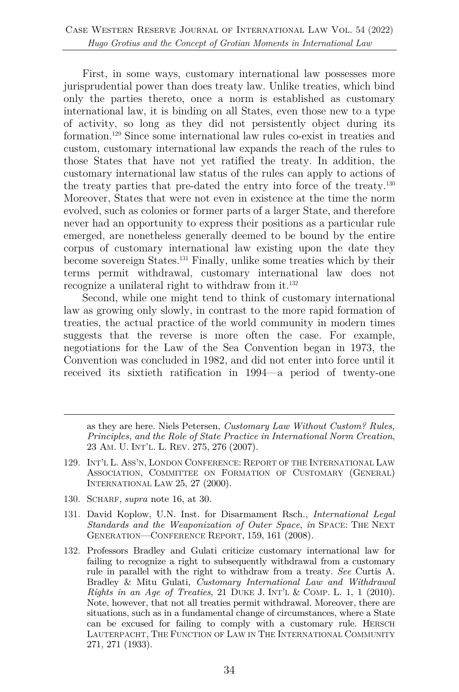First, in some ways, customary international law possesses more jurisprudential power than does treaty law. Unlike treaties, which bind only the parties thereto, once a norm is established as customary international law, it is binding on all States, even those new to a type of activity, so long as they did not persistently object during its formation.129 Since some international law rules co-exist in treaties and custom, customary international law expands the reach of the rules to those States that have not yet ratified the treaty. In addition, the customary international law status of the rules can apply to actions of the treaty parties that pre-dated the entry into force of the treaty.130 Moreover, States that were not even in existence at the time the norm evolved, such as colonies or former parts of a larger State, and therefore never had an opportunity to express their positions as a particular rule emerged, are nonetheless generally deemed to be bound by the entire corpus of customary international law existing upon the date they become sovereign States.131 Finally, unlike some treaties which by their terms permit withdrawal, customary international law does not recognize a unilateral right to withdraw from it.<sup>132</sup>

Second, while one might tend to think of customary international law as growing only slowly, in contrast to the more rapid formation of treaties, the actual practice of the world community in modern times suggests that the reverse is more often the case. For example, negotiations for the Law of the Sea Convention began in 1973, the Convention was concluded in 1982, and did not enter into force until it received its sixtieth ratification in 1994—a period of twenty-one

as they are here. Niels Petersen, *Customary Law Without Custom? Rules, Principles, and the Role of State Practice in International Norm Creation*, 23 AM. U. INT'L. L. REV. 275, 276 (2007).

- 129. INT'L L. ASS'N, LONDON CONFERENCE: REPORT OF THE INTERNATIONAL LAW ASSOCIATION, COMMITTEE ON FORMATION OF CUSTOMARY (GENERAL) INTERNATIONAL LAW 25, 27 (2000).
- 130. SCHARF, *supra* note 16, at 30.
- 131. David Koplow, U.N. Inst. for Disarmament Rsch., *International Legal Standards and the Weaponization of Outer Space*, *in* SPACE: THE NEXT GENERATION—CONFERENCE REPORT, 159, 161 (2008).
- 132. Professors Bradley and Gulati criticize customary international law for failing to recognize a right to subsequently withdrawal from a customary rule in parallel with the right to withdraw from a treaty. *See* Curtis A. Bradley & Mitu Gulati, *Customary International Law and Withdrawal Rights in an Age of Treaties*, 21 DUKE J. INT'L & COMP. L. 1, 1 (2010). Note, however, that not all treaties permit withdrawal. Moreover, there are situations, such as in a fundamental change of circumstances, where a State can be excused for failing to comply with a customary rule. HERSCH LAUTERPACHT, THE FUNCTION OF LAW IN THE INTERNATIONAL COMMUNITY 271, 271 (1933).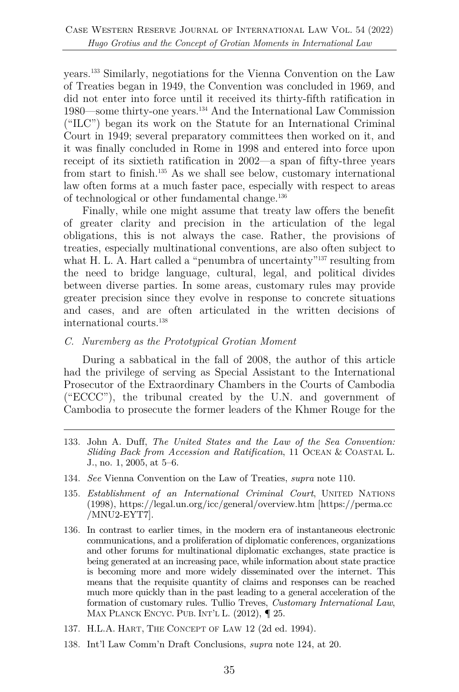years.133 Similarly, negotiations for the Vienna Convention on the Law of Treaties began in 1949, the Convention was concluded in 1969, and did not enter into force until it received its thirty-fifth ratification in 1980—some thirty-one years.134 And the International Law Commission ("ILC") began its work on the Statute for an International Criminal Court in 1949; several preparatory committees then worked on it, and it was finally concluded in Rome in 1998 and entered into force upon receipt of its sixtieth ratification in 2002—a span of fifty-three years from start to finish.135 As we shall see below, customary international law often forms at a much faster pace, especially with respect to areas of technological or other fundamental change.136

Finally, while one might assume that treaty law offers the benefit of greater clarity and precision in the articulation of the legal obligations, this is not always the case. Rather, the provisions of treaties, especially multinational conventions, are also often subject to what H. L. A. Hart called a "penumbra of uncertainty"<sup>137</sup> resulting from the need to bridge language, cultural, legal, and political divides between diverse parties. In some areas, customary rules may provide greater precision since they evolve in response to concrete situations and cases, and are often articulated in the written decisions of international courts.138

#### *C. Nuremberg as the Prototypical Grotian Moment*

During a sabbatical in the fall of 2008, the author of this article had the privilege of serving as Special Assistant to the International Prosecutor of the Extraordinary Chambers in the Courts of Cambodia ("ECCC"), the tribunal created by the U.N. and government of Cambodia to prosecute the former leaders of the Khmer Rouge for the

- 133. John A. Duff, *The United States and the Law of the Sea Convention: Sliding Back from Accession and Ratification*, 11 OCEAN & COASTAL L. J., no. 1, 2005, at 5–6.
- 134. *See* Vienna Convention on the Law of Treaties, *supra* note 110.
- 135. *Establishment of an International Criminal Court*, UNITED NATIONS (1998), https://legal.un.org/icc/general/overview.htm [https://perma.cc /MNU2-EYT7].
- 136. In contrast to earlier times, in the modern era of instantaneous electronic communications, and a proliferation of diplomatic conferences, organizations and other forums for multinational diplomatic exchanges, state practice is being generated at an increasing pace, while information about state practice is becoming more and more widely disseminated over the internet. This means that the requisite quantity of claims and responses can be reached much more quickly than in the past leading to a general acceleration of the formation of customary rules. Tullio Treves, *Customary International Law*, MAX PLANCK ENCYC. PUB. INT'L L. (2012),  $\P$  25.
- 137. H.L.A. HART, THE CONCEPT OF LAW 12 (2d ed. 1994).
- 138. Int'l Law Comm'n Draft Conclusions, *supra* note 124, at 20.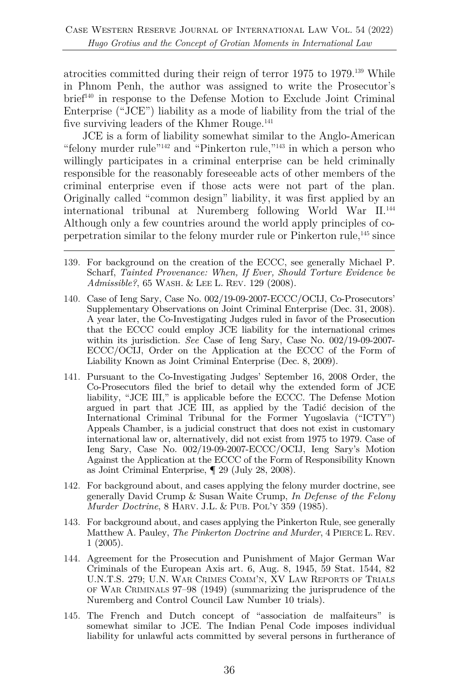atrocities committed during their reign of terror 1975 to 1979.139 While in Phnom Penh, the author was assigned to write the Prosecutor's brief140 in response to the Defense Motion to Exclude Joint Criminal Enterprise ("JCE") liability as a mode of liability from the trial of the five surviving leaders of the Khmer Rouge.<sup>141</sup>

JCE is a form of liability somewhat similar to the Anglo-American "felony murder rule"<sup>142</sup> and "Pinkerton rule,"<sup>143</sup> in which a person who willingly participates in a criminal enterprise can be held criminally responsible for the reasonably foreseeable acts of other members of the criminal enterprise even if those acts were not part of the plan. Originally called "common design" liability, it was first applied by an international tribunal at Nuremberg following World War II.144 Although only a few countries around the world apply principles of coperpetration similar to the felony murder rule or Pinkerton rule,145 since

- 139. For background on the creation of the ECCC, see generally Michael P. Scharf, *Tainted Provenance: When, If Ever, Should Torture Evidence be Admissible?*, 65 WASH. & LEE L. REV. 129 (2008).
- 140. Case of Ieng Sary, Case No. 002/19-09-2007-ECCC/OCIJ, Co-Prosecutors' Supplementary Observations on Joint Criminal Enterprise (Dec. 31, 2008). A year later, the Co-Investigating Judges ruled in favor of the Prosecution that the ECCC could employ JCE liability for the international crimes within its jurisdiction. *See* Case of Ieng Sary, Case No. 002/19-09-2007- ECCC/OCIJ, Order on the Application at the ECCC of the Form of Liability Known as Joint Criminal Enterprise (Dec. 8, 2009).
- 141. Pursuant to the Co-Investigating Judges' September 16, 2008 Order, the Co-Prosecutors filed the brief to detail why the extended form of JCE liability, "JCE III," is applicable before the ECCC. The Defense Motion argued in part that JCE III, as applied by the Tadić decision of the International Criminal Tribunal for the Former Yugoslavia ("ICTY") Appeals Chamber, is a judicial construct that does not exist in customary international law or, alternatively, did not exist from 1975 to 1979. Case of Ieng Sary, Case No. 002/19-09-2007-ECCC/OCIJ, Ieng Sary's Motion Against the Application at the ECCC of the Form of Responsibility Known as Joint Criminal Enterprise, ¶ 29 (July 28, 2008).
- 142. For background about, and cases applying the felony murder doctrine, see generally David Crump & Susan Waite Crump, *In Defense of the Felony Murder Doctrine*, 8 HARV. J.L. & PUB. POL'Y 359 (1985).
- 143. For background about, and cases applying the Pinkerton Rule, see generally Matthew A. Pauley, *The Pinkerton Doctrine and Murder*, 4 PIERCE L. REV. 1 (2005).
- 144. Agreement for the Prosecution and Punishment of Major German War Criminals of the European Axis art. 6, Aug. 8, 1945, 59 Stat. 1544, 82 U.N.T.S. 279; U.N. WAR CRIMES COMM'N, XV LAW REPORTS OF TRIALS OF WAR CRIMINALS 97–98 (1949) (summarizing the jurisprudence of the Nuremberg and Control Council Law Number 10 trials).
- 145. The French and Dutch concept of "association de malfaiteurs" is somewhat similar to JCE. The Indian Penal Code imposes individual liability for unlawful acts committed by several persons in furtherance of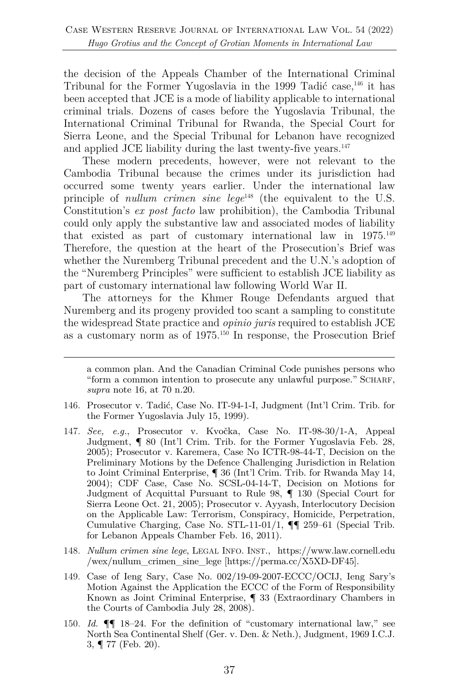the decision of the Appeals Chamber of the International Criminal Tribunal for the Former Yugoslavia in the 1999 Tadić case,<sup>146</sup> it has been accepted that JCE is a mode of liability applicable to international criminal trials. Dozens of cases before the Yugoslavia Tribunal, the International Criminal Tribunal for Rwanda, the Special Court for Sierra Leone, and the Special Tribunal for Lebanon have recognized and applied JCE liability during the last twenty-five years.<sup>147</sup>

These modern precedents, however, were not relevant to the Cambodia Tribunal because the crimes under its jurisdiction had occurred some twenty years earlier. Under the international law principle of *nullum crimen sine lege*<sup>148</sup> (the equivalent to the U.S. Constitution's *ex post facto* law prohibition), the Cambodia Tribunal could only apply the substantive law and associated modes of liability that existed as part of customary international law in 1975.<sup>149</sup> Therefore, the question at the heart of the Prosecution's Brief was whether the Nuremberg Tribunal precedent and the U.N.'s adoption of the "Nuremberg Principles" were sufficient to establish JCE liability as part of customary international law following World War II.

The attorneys for the Khmer Rouge Defendants argued that Nuremberg and its progeny provided too scant a sampling to constitute the widespread State practice and *opinio juris* required to establish JCE as a customary norm as of 1975.150 In response, the Prosecution Brief

- 146. Prosecutor v. Tadić, Case No. IT-94-1-I, Judgment (Int'l Crim. Trib. for the Former Yugoslavia July 15, 1999).
- 147. *See, e.g.*, Prosecutor v. Kvočka, Case No. IT-98-30/1-A, Appeal Judgment, ¶ 80 (Int'l Crim. Trib. for the Former Yugoslavia Feb. 28, 2005); Prosecutor v. Karemera, Case No ICTR-98-44-T, Decision on the Preliminary Motions by the Defence Challenging Jurisdiction in Relation to Joint Criminal Enterprise, ¶ 36 (Int'l Crim. Trib. for Rwanda May 14, 2004); CDF Case, Case No. SCSL-04-14-T, Decision on Motions for Judgment of Acquittal Pursuant to Rule 98, ¶ 130 (Special Court for Sierra Leone Oct. 21, 2005); Prosecutor v. Ayyash, Interlocutory Decision on the Applicable Law: Terrorism, Conspiracy, Homicide, Perpetration, Cumulative Charging, Case No. STL-11-01/1, ¶¶ 259–61 (Special Trib. for Lebanon Appeals Chamber Feb. 16, 2011).
- 148. *Nullum crimen sine lege*, LEGAL INFO. INST., https://www.law.cornell.edu /wex/nullum\_crimen\_sine\_lege [https://perma.cc/X5XD-DF45].
- 149. Case of Ieng Sary, Case No. 002/19-09-2007-ECCC/OCIJ, Ieng Sary's Motion Against the Application the ECCC of the Form of Responsibility Known as Joint Criminal Enterprise, ¶ 33 (Extraordinary Chambers in the Courts of Cambodia July 28, 2008).
- 150. *Id.* ¶¶ 18–24. For the definition of "customary international law," see North Sea Continental Shelf (Ger. v. Den. & Neth.), Judgment, 1969 I.C.J. 3, ¶ 77 (Feb. 20).

a common plan. And the Canadian Criminal Code punishes persons who "form a common intention to prosecute any unlawful purpose." SCHARF, *supra* note 16, at 70 n.20.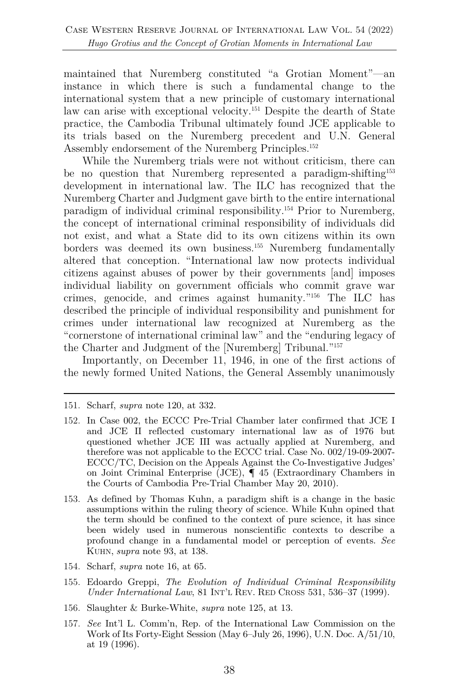maintained that Nuremberg constituted "a Grotian Moment"—an instance in which there is such a fundamental change to the international system that a new principle of customary international law can arise with exceptional velocity.<sup>151</sup> Despite the dearth of State practice, the Cambodia Tribunal ultimately found JCE applicable to its trials based on the Nuremberg precedent and U.N. General Assembly endorsement of the Nuremberg Principles.<sup>152</sup>

While the Nuremberg trials were not without criticism, there can be no question that Nuremberg represented a paradigm-shifting153 development in international law. The ILC has recognized that the Nuremberg Charter and Judgment gave birth to the entire international paradigm of individual criminal responsibility.154 Prior to Nuremberg, the concept of international criminal responsibility of individuals did not exist, and what a State did to its own citizens within its own borders was deemed its own business.155 Nuremberg fundamentally altered that conception. "International law now protects individual citizens against abuses of power by their governments [and] imposes individual liability on government officials who commit grave war crimes, genocide, and crimes against humanity."156 The ILC has described the principle of individual responsibility and punishment for crimes under international law recognized at Nuremberg as the "cornerstone of international criminal law" and the "enduring legacy of the Charter and Judgment of the [Nuremberg] Tribunal."157

Importantly, on December 11, 1946, in one of the first actions of the newly formed United Nations, the General Assembly unanimously

- 154. Scharf, *supra* note 16, at 65.
- 155. Edoardo Greppi, *The Evolution of Individual Criminal Responsibility Under International Law*, 81 INT'L REV. RED CROSS 531, 536–37 (1999).
- 156. Slaughter & Burke-White, *supra* note 125, at 13.
- 157. *See* Int'l L. Comm'n, Rep. of the International Law Commission on the Work of Its Forty-Eight Session (May 6–July 26, 1996), U.N. Doc. A/51/10, at 19 (1996).

<sup>151.</sup> Scharf, *supra* note 120, at 332.

<sup>152.</sup> In Case 002, the ECCC Pre-Trial Chamber later confirmed that JCE I and JCE II reflected customary international law as of 1976 but questioned whether JCE III was actually applied at Nuremberg, and therefore was not applicable to the ECCC trial. Case No. 002/19-09-2007- ECCC/TC, Decision on the Appeals Against the Co-Investigative Judges' on Joint Criminal Enterprise (JCE), ¶ 45 (Extraordinary Chambers in the Courts of Cambodia Pre-Trial Chamber May 20, 2010).

<sup>153.</sup> As defined by Thomas Kuhn, a paradigm shift is a change in the basic assumptions within the ruling theory of science. While Kuhn opined that the term should be confined to the context of pure science, it has since been widely used in numerous nonscientific contexts to describe a profound change in a fundamental model or perception of events. *See*  KUHN, *supra* note 93, at 138.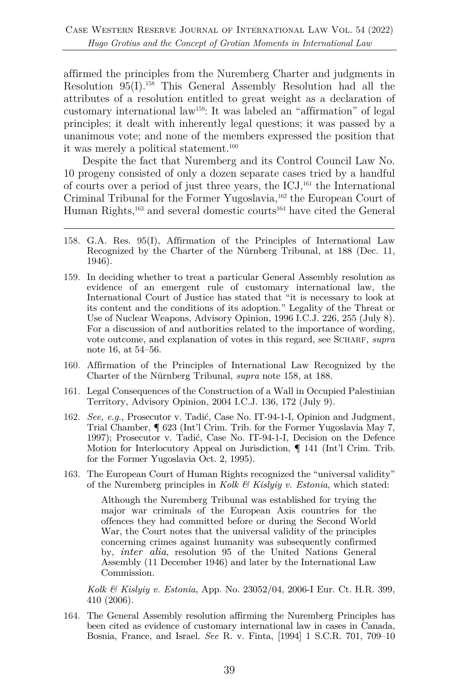affirmed the principles from the Nuremberg Charter and judgments in Resolution 95(I).158 This General Assembly Resolution had all the attributes of a resolution entitled to great weight as a declaration of customary international law159: It was labeled an "affirmation" of legal principles; it dealt with inherently legal questions; it was passed by a unanimous vote; and none of the members expressed the position that it was merely a political statement.<sup>160</sup>

Despite the fact that Nuremberg and its Control Council Law No. 10 progeny consisted of only a dozen separate cases tried by a handful of courts over a period of just three years, the ICJ,161 the International Criminal Tribunal for the Former Yugoslavia,<sup>162</sup> the European Court of Human Rights,<sup>163</sup> and several domestic courts<sup>164</sup> have cited the General

- 158. G.A. Res. 95(I), Affirmation of the Principles of International Law Recognized by the Charter of the Nürnberg Tribunal, at 188 (Dec. 11, 1946).
- 159. In deciding whether to treat a particular General Assembly resolution as evidence of an emergent rule of customary international law, the International Court of Justice has stated that "it is necessary to look at its content and the conditions of its adoption." Legality of the Threat or Use of Nuclear Weapons, Advisory Opinion, 1996 I.C.J. 226, 255 (July 8). For a discussion of and authorities related to the importance of wording, vote outcome, and explanation of votes in this regard, see SCHARF, *supra*  note 16, at 54–56.
- 160. Affirmation of the Principles of International Law Recognized by the Charter of the Nürnberg Tribunal, *supra* note 158, at 188.
- 161. Legal Consequences of the Construction of a Wall in Occupied Palestinian Territory, Advisory Opinion, 2004 I.C.J. 136, 172 (July 9).
- 162. *See, e.g.*, Prosecutor v. Tadić, Case No. IT-94-1-I, Opinion and Judgment, Trial Chamber, ¶ 623 (Int'l Crim. Trib. for the Former Yugoslavia May 7, 1997); Prosecutor v. Tadić, Case No. IT-94-1-I, Decision on the Defence Motion for Interlocutory Appeal on Jurisdiction, ¶ 141 (Int'l Crim. Trib. for the Former Yugoslavia Oct. 2, 1995).
- 163. The European Court of Human Rights recognized the "universal validity" of the Nuremberg principles in *Kolk & Kislyiy v. Estonia*, which stated:

Although the Nuremberg Tribunal was established for trying the major war criminals of the European Axis countries for the offences they had committed before or during the Second World War, the Court notes that the universal validity of the principles concerning crimes against humanity was subsequently confirmed by, *inter alia*, resolution 95 of the United Nations General Assembly (11 December 1946) and later by the International Law Commission.

*Kolk & Kislyiy v. Estonia*, App. No. 23052/04, 2006-I Eur. Ct. H.R. 399, 410 (2006).

164. The General Assembly resolution affirming the Nuremberg Principles has been cited as evidence of customary international law in cases in Canada, Bosnia, France, and Israel. *See* R. v. Finta, [1994] 1 S.C.R. 701, 709–10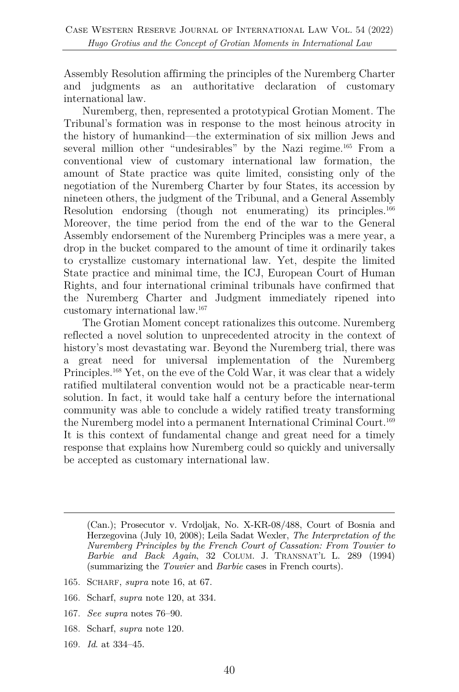Assembly Resolution affirming the principles of the Nuremberg Charter and judgments as an authoritative declaration of customary international law.

Nuremberg, then, represented a prototypical Grotian Moment. The Tribunal's formation was in response to the most heinous atrocity in the history of humankind—the extermination of six million Jews and several million other "undesirables" by the Nazi regime.<sup>165</sup> From a conventional view of customary international law formation, the amount of State practice was quite limited, consisting only of the negotiation of the Nuremberg Charter by four States, its accession by nineteen others, the judgment of the Tribunal, and a General Assembly Resolution endorsing (though not enumerating) its principles.<sup>166</sup> Moreover, the time period from the end of the war to the General Assembly endorsement of the Nuremberg Principles was a mere year, a drop in the bucket compared to the amount of time it ordinarily takes to crystallize customary international law. Yet, despite the limited State practice and minimal time, the ICJ, European Court of Human Rights, and four international criminal tribunals have confirmed that the Nuremberg Charter and Judgment immediately ripened into customary international law.167

The Grotian Moment concept rationalizes this outcome. Nuremberg reflected a novel solution to unprecedented atrocity in the context of history's most devastating war. Beyond the Nuremberg trial, there was a great need for universal implementation of the Nuremberg Principles.168 Yet, on the eve of the Cold War, it was clear that a widely ratified multilateral convention would not be a practicable near-term solution. In fact, it would take half a century before the international community was able to conclude a widely ratified treaty transforming the Nuremberg model into a permanent International Criminal Court.<sup>169</sup> It is this context of fundamental change and great need for a timely response that explains how Nuremberg could so quickly and universally be accepted as customary international law.

- 165. SCHARF, *supra* note 16, at 67.
- 166. Scharf, *supra* note 120, at 334.
- 167. *See supra* notes 76–90.
- 168. Scharf, *supra* note 120.
- 169. *Id*. at 334–45.

<sup>(</sup>Can.); Prosecutor v. Vrdoljak, No. X-KR-08/488, Court of Bosnia and Herzegovina (July 10, 2008); Leila Sadat Wexler, *The Interpretation of the Nuremberg Principles by the French Court of Cassation: From Touvier to Barbie and Back Again*, 32 COLUM. J. TRANSNAT'L L. 289 (1994) (summarizing the *Touvier* and *Barbie* cases in French courts).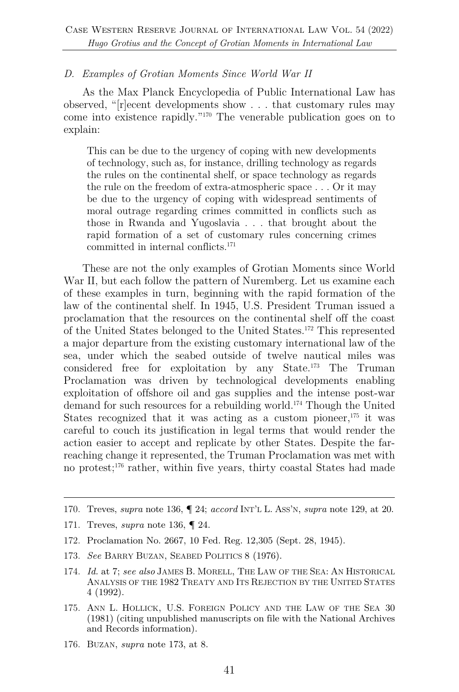#### *D. Examples of Grotian Moments Since World War II*

As the Max Planck Encyclopedia of Public International Law has observed, "[r]ecent developments show . . . that customary rules may come into existence rapidly."170 The venerable publication goes on to explain:

This can be due to the urgency of coping with new developments of technology, such as, for instance, drilling technology as regards the rules on the continental shelf, or space technology as regards the rule on the freedom of extra-atmospheric space . . . Or it may be due to the urgency of coping with widespread sentiments of moral outrage regarding crimes committed in conflicts such as those in Rwanda and Yugoslavia . . . that brought about the rapid formation of a set of customary rules concerning crimes committed in internal conflicts.171

These are not the only examples of Grotian Moments since World War II, but each follow the pattern of Nuremberg. Let us examine each of these examples in turn, beginning with the rapid formation of the law of the continental shelf. In 1945, U.S. President Truman issued a proclamation that the resources on the continental shelf off the coast of the United States belonged to the United States.172 This represented a major departure from the existing customary international law of the sea, under which the seabed outside of twelve nautical miles was considered free for exploitation by any State.173 The Truman Proclamation was driven by technological developments enabling exploitation of offshore oil and gas supplies and the intense post-war demand for such resources for a rebuilding world.174 Though the United States recognized that it was acting as a custom pioneer,  $175$  it was careful to couch its justification in legal terms that would render the action easier to accept and replicate by other States. Despite the farreaching change it represented, the Truman Proclamation was met with no protest; <sup>176</sup> rather, within five years, thirty coastal States had made

- 172. Proclamation No. 2667, 10 Fed. Reg. 12,305 (Sept. 28, 1945).
- 173. *See* BARRY BUZAN, SEABED POLITICS 8 (1976).
- 174. *Id.* at 7; *see also* JAMES B. MORELL, THE LAW OF THE SEA: AN HISTORICAL ANALYSIS OF THE 1982 TREATY AND ITS REJECTION BY THE UNITED STATES 4 (1992).
- 175. ANN L. HOLLICK, U.S. FOREIGN POLICY AND THE LAW OF THE SEA 30 (1981) (citing unpublished manuscripts on file with the National Archives and Records information).
- 176. BUZAN, *supra* note 173, at 8.

<sup>170.</sup> Treves, *supra* note 136, ¶ 24; *accord* INT'L L. ASS'N, *supra* note 129, at 20.

<sup>171.</sup> Treves, *supra* note 136, ¶ 24.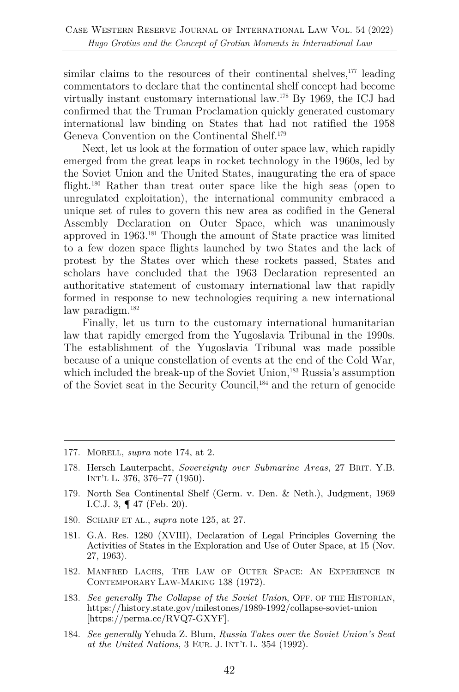similar claims to the resources of their continental shelves, $177$  leading commentators to declare that the continental shelf concept had become virtually instant customary international law.178 By 1969, the ICJ had confirmed that the Truman Proclamation quickly generated customary international law binding on States that had not ratified the 1958 Geneva Convention on the Continental Shelf. 179

Next, let us look at the formation of outer space law, which rapidly emerged from the great leaps in rocket technology in the 1960s, led by the Soviet Union and the United States, inaugurating the era of space flight.<sup>180</sup> Rather than treat outer space like the high seas (open to unregulated exploitation), the international community embraced a unique set of rules to govern this new area as codified in the General Assembly Declaration on Outer Space, which was unanimously approved in 1963.181 Though the amount of State practice was limited to a few dozen space flights launched by two States and the lack of protest by the States over which these rockets passed, States and scholars have concluded that the 1963 Declaration represented an authoritative statement of customary international law that rapidly formed in response to new technologies requiring a new international law paradigm.<sup>182</sup>

Finally, let us turn to the customary international humanitarian law that rapidly emerged from the Yugoslavia Tribunal in the 1990s. The establishment of the Yugoslavia Tribunal was made possible because of a unique constellation of events at the end of the Cold War, which included the break-up of the Soviet Union,<sup>183</sup> Russia's assumption of the Soviet seat in the Security Council,184 and the return of genocide

- 177. MORELL, *supra* note 174, at 2.
- 178. Hersch Lauterpacht, *Sovereignty over Submarine Areas*, 27 BRIT. Y.B. INT'L L. 376, 376–77 (1950).
- 179. North Sea Continental Shelf (Germ. v. Den. & Neth.), Judgment, 1969 I.C.J. 3, ¶ 47 (Feb. 20).
- 180. SCHARF ET AL., *supra* note 125, at 27.
- 181. G.A. Res. 1280 (XVIII), Declaration of Legal Principles Governing the Activities of States in the Exploration and Use of Outer Space, at 15 (Nov. 27, 1963).
- 182. MANFRED LACHS, THE LAW OF OUTER SPACE: AN EXPERIENCE IN CONTEMPORARY LAW-MAKING 138 (1972).
- 183. *See generally The Collapse of the Soviet Union*, OFF. OF THE HISTORIAN, https://history.state.gov/milestones/1989-1992/collapse-soviet-union [https://perma.cc/RVQ7-GXYF].
- 184. *See generally* Yehuda Z. Blum, *Russia Takes over the Soviet Union's Seat at the United Nations*, 3 EUR. J. INT'L L. 354 (1992).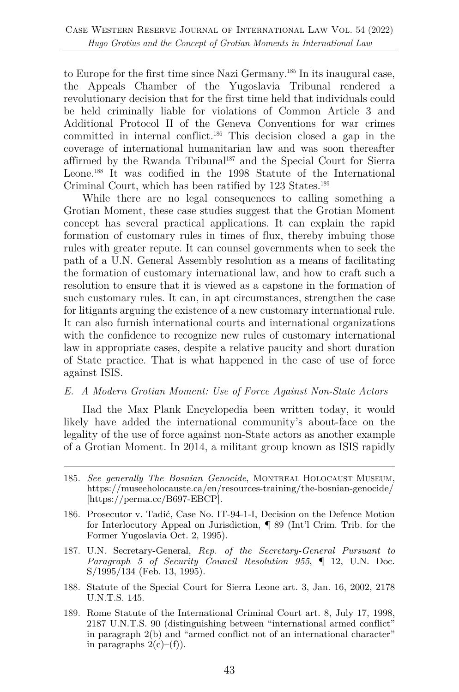to Europe for the first time since Nazi Germany.185 In its inaugural case, the Appeals Chamber of the Yugoslavia Tribunal rendered a revolutionary decision that for the first time held that individuals could be held criminally liable for violations of Common Article 3 and Additional Protocol II of the Geneva Conventions for war crimes committed in internal conflict.186 This decision closed a gap in the coverage of international humanitarian law and was soon thereafter affirmed by the Rwanda Tribunal187 and the Special Court for Sierra Leone.<sup>188</sup> It was codified in the 1998 Statute of the International Criminal Court, which has been ratified by 123 States.<sup>189</sup>

While there are no legal consequences to calling something a Grotian Moment, these case studies suggest that the Grotian Moment concept has several practical applications. It can explain the rapid formation of customary rules in times of flux, thereby imbuing those rules with greater repute. It can counsel governments when to seek the path of a U.N. General Assembly resolution as a means of facilitating the formation of customary international law, and how to craft such a resolution to ensure that it is viewed as a capstone in the formation of such customary rules. It can, in apt circumstances, strengthen the case for litigants arguing the existence of a new customary international rule. It can also furnish international courts and international organizations with the confidence to recognize new rules of customary international law in appropriate cases, despite a relative paucity and short duration of State practice. That is what happened in the case of use of force against ISIS.

#### *E. A Modern Grotian Moment: Use of Force Against Non-State Actors*

Had the Max Plank Encyclopedia been written today, it would likely have added the international community's about-face on the legality of the use of force against non-State actors as another example of a Grotian Moment. In 2014, a militant group known as ISIS rapidly

- 187. U.N. Secretary-General, *Rep. of the Secretary-General Pursuant to Paragraph 5 of Security Council Resolution 955*, ¶ 12, U.N. Doc. S/1995/134 (Feb. 13, 1995).
- 188. Statute of the Special Court for Sierra Leone art. 3, Jan. 16, 2002, 2178 U.N.T.S. 145.
- 189. Rome Statute of the International Criminal Court art. 8, July 17, 1998, 2187 U.N.T.S. 90 (distinguishing between "international armed conflict" in paragraph 2(b) and "armed conflict not of an international character" in paragraphs  $2(c)$ –(f)).

<sup>185.</sup> *See generally The Bosnian Genocide*, MONTREAL HOLOCAUST MUSEUM, https://museeholocauste.ca/en/resources-training/the-bosnian-genocide/ [https://perma.cc/B697-EBCP].

<sup>186.</sup> Prosecutor v. Tadić, Case No. IT-94-1-I, Decision on the Defence Motion for Interlocutory Appeal on Jurisdiction, ¶ 89 (Int'l Crim. Trib. for the Former Yugoslavia Oct. 2, 1995).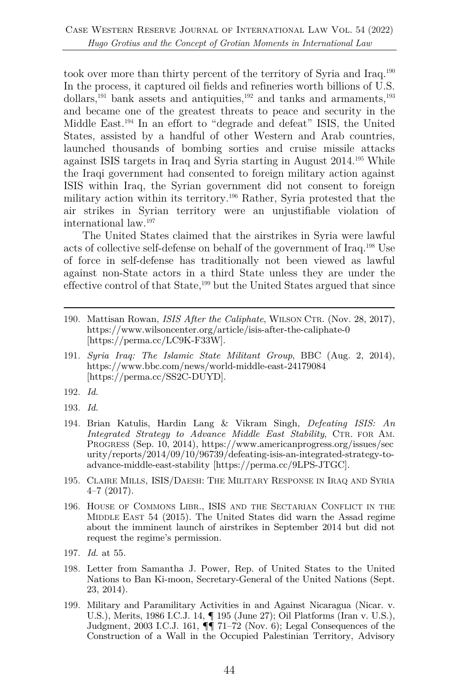took over more than thirty percent of the territory of Syria and Iraq.190 In the process, it captured oil fields and refineries worth billions of U.S. dollars,<sup>191</sup> bank assets and antiquities,<sup>192</sup> and tanks and armaments,<sup>193</sup> and became one of the greatest threats to peace and security in the Middle East.194 In an effort to "degrade and defeat" ISIS, the United States, assisted by a handful of other Western and Arab countries, launched thousands of bombing sorties and cruise missile attacks against ISIS targets in Iraq and Syria starting in August 2014.195 While the Iraqi government had consented to foreign military action against ISIS within Iraq, the Syrian government did not consent to foreign military action within its territory.196 Rather, Syria protested that the air strikes in Syrian territory were an unjustifiable violation of international law.197

The United States claimed that the airstrikes in Syria were lawful acts of collective self-defense on behalf of the government of Iraq.198 Use of force in self-defense has traditionally not been viewed as lawful against non-State actors in a third State unless they are under the effective control of that State,199 but the United States argued that since

- 191. *Syria Iraq: The Islamic State Militant Group*, BBC (Aug. 2, 2014), https://www.bbc.com/news/world-middle-east-24179084 [https://perma.cc/SS2C-DUYD].
- 192. *Id.*
- 193. *Id.*
- 194. Brian Katulis, Hardin Lang & Vikram Singh, *Defeating ISIS: An Integrated Strategy to Advance Middle East Stability*, CTR. FOR AM. PROGRESS (Sep. 10, 2014), https://www.americanprogress.org/issues/sec urity/reports/2014/09/10/96739/defeating-isis-an-integrated-strategy-toadvance-middle-east-stability [https://perma.cc/9LPS-JTGC].
- 195. CLAIRE MILLS, ISIS/DAESH: THE MILITARY RESPONSE IN IRAQ AND SYRIA 4–7 (2017).
- 196. HOUSE OF COMMONS LIBR., ISIS AND THE SECTARIAN CONFLICT IN THE MIDDLE EAST 54 (2015). The United States did warn the Assad regime about the imminent launch of airstrikes in September 2014 but did not request the regime's permission.
- 197. *Id.* at 55.
- 198. Letter from Samantha J. Power, Rep. of United States to the United Nations to Ban Ki-moon, Secretary-General of the United Nations (Sept. 23, 2014).
- 199. Military and Paramilitary Activities in and Against Nicaragua (Nicar. v. U.S.), Merits, 1986 I.C.J. 14, ¶ 195 (June 27); Oil Platforms (Iran v. U.S.), Judgment, 2003 I.C.J. 161,  $\P\P$  71–72 (Nov. 6); Legal Consequences of the Construction of a Wall in the Occupied Palestinian Territory, Advisory

<sup>190.</sup> Mattisan Rowan, *ISIS After the Caliphate*, WILSON CTR. (Nov. 28, 2017), https://www.wilsoncenter.org/article/isis-after-the-caliphate-0 [https://perma.cc/LC9K-F33W].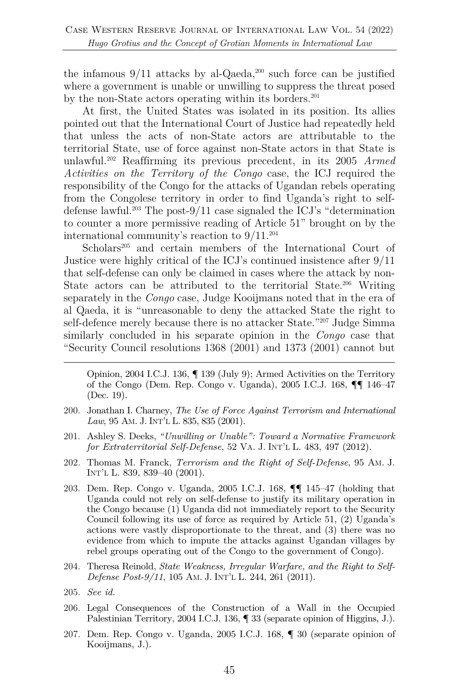the infamous  $9/11$  attacks by al-Qaeda,<sup>200</sup> such force can be justified where a government is unable or unwilling to suppress the threat posed by the non-State actors operating within its borders.<sup>201</sup>

At first, the United States was isolated in its position. Its allies pointed out that the International Court of Justice had repeatedly held that unless the acts of non-State actors are attributable to the territorial State, use of force against non-State actors in that State is unlawful.202 Reaffirming its previous precedent, in its 2005 *Armed Activities on the Territory of the Congo* case, the ICJ required the responsibility of the Congo for the attacks of Ugandan rebels operating from the Congolese territory in order to find Uganda's right to selfdefense lawful.<sup>203</sup> The post-9/11 case signaled the ICJ's "determination" to counter a more permissive reading of Article 51" brought on by the international community's reaction to 9/11.204

Scholars<sup>205</sup> and certain members of the International Court of Justice were highly critical of the ICJ's continued insistence after 9/11 that self-defense can only be claimed in cases where the attack by non-State actors can be attributed to the territorial State.<sup>206</sup> Writing separately in the *Congo* case, Judge Kooijmans noted that in the era of al Qaeda, it is "unreasonable to deny the attacked State the right to self-defence merely because there is no attacker State."207 Judge Simma similarly concluded in his separate opinion in the *Congo* case that "Security Council resolutions 1368 (2001) and 1373 (2001) cannot but

Opinion, 2004 I.C.J. 136, ¶ 139 (July 9); Armed Activities on the Territory of the Congo (Dem. Rep. Congo v. Uganda), 2005 I.C.J. 168, ¶¶ 146–47 (Dec. 19).

- 200. Jonathan I. Charney, *The Use of Force Against Terrorism and International Law*, 95 AM. J. INT'L L. 835, 835 (2001).
- 201. Ashley S. Deeks, *"Unwilling or Unable": Toward a Normative Framework for Extraterritorial Self-Defense*, 52 VA. J. INT'L L. 483, 497 (2012).
- 202. Thomas M. Franck, *Terrorism and the Right of Self-Defense*, 95 AM. J. INT'L L. 839, 839–40 (2001).
- 203. Dem. Rep. Congo v. Uganda, 2005 I.C.J. 168, ¶¶ 145–47 (holding that Uganda could not rely on self-defense to justify its military operation in the Congo because (1) Uganda did not immediately report to the Security Council following its use of force as required by Article 51, (2) Uganda's actions were vastly disproportionate to the threat, and (3) there was no evidence from which to impute the attacks against Ugandan villages by rebel groups operating out of the Congo to the government of Congo).
- 204. Theresa Reinold, *State Weakness, Irregular Warfare, and the Right to Self-Defense Post-9/11*, 105 AM. J. INT'L L. 244, 261 (2011).
- 205. *See id.*
- 206. Legal Consequences of the Construction of a Wall in the Occupied Palestinian Territory, 2004 I.C.J. 136, ¶ 33 (separate opinion of Higgins, J.).
- 207. Dem. Rep. Congo v. Uganda, 2005 I.C.J. 168, ¶ 30 (separate opinion of Kooijmans, J.).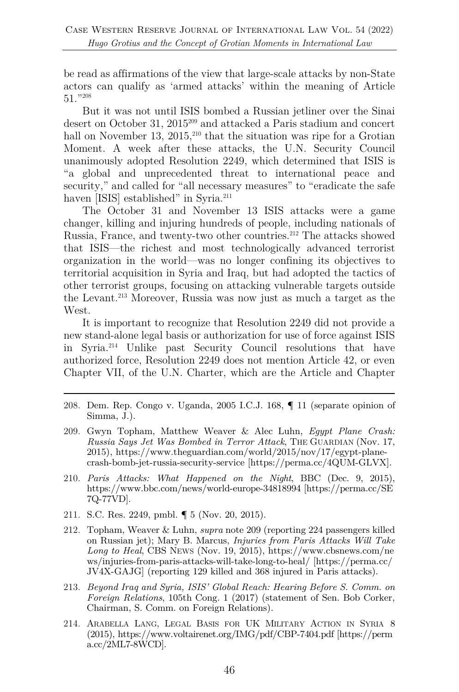be read as affirmations of the view that large-scale attacks by non-State actors can qualify as 'armed attacks' within the meaning of Article 51."208

But it was not until ISIS bombed a Russian jetliner over the Sinai desert on October 31, 2015<sup>209</sup> and attacked a Paris stadium and concert hall on November 13, 2015, $2^{10}$  that the situation was ripe for a Grotian Moment. A week after these attacks, the U.N. Security Council unanimously adopted Resolution 2249, which determined that ISIS is "a global and unprecedented threat to international peace and security," and called for "all necessary measures" to "eradicate the safe haven [ISIS] established" in Syria.<sup>211</sup>

The October 31 and November 13 ISIS attacks were a game changer, killing and injuring hundreds of people, including nationals of Russia, France, and twenty-two other countries.212 The attacks showed that ISIS—the richest and most technologically advanced terrorist organization in the world—was no longer confining its objectives to territorial acquisition in Syria and Iraq, but had adopted the tactics of other terrorist groups, focusing on attacking vulnerable targets outside the Levant.213 Moreover, Russia was now just as much a target as the West.

It is important to recognize that Resolution 2249 did not provide a new stand-alone legal basis or authorization for use of force against ISIS in Syria.214 Unlike past Security Council resolutions that have authorized force, Resolution 2249 does not mention Article 42, or even Chapter VII, of the U.N. Charter, which are the Article and Chapter

- 208. Dem. Rep. Congo v. Uganda, 2005 I.C.J. 168, ¶ 11 (separate opinion of Simma, J.).
- 209. Gwyn Topham, Matthew Weaver & Alec Luhn, *Egypt Plane Crash: Russia Says Jet Was Bombed in Terror Attack*, THE GUARDIAN (Nov. 17, 2015), https://www.theguardian.com/world/2015/nov/17/egypt-planecrash-bomb-jet-russia-security-service [https://perma.cc/4QUM-GLVX].
- 210. *Paris Attacks: What Happened on the Night*, BBC (Dec. 9, 2015), https://www.bbc.com/news/world-europe-34818994 [https://perma.cc/SE 7Q-77VD].
- 211. S.C. Res. 2249, pmbl. ¶ 5 (Nov. 20, 2015).
- 212. Topham, Weaver & Luhn, *supra* note 209 (reporting 224 passengers killed on Russian jet); Mary B. Marcus, *Injuries from Paris Attacks Will Take Long to Heal*, CBS NEWS (Nov. 19, 2015), https://www.cbsnews.com/ne ws/injuries-from-paris-attacks-will-take-long-to-heal/ [https://perma.cc/ JV4X-GAJG] (reporting 129 killed and 368 injured in Paris attacks).
- 213. *Beyond Iraq and Syria, ISIS' Global Reach: Hearing Before S. Comm. on Foreign Relations*, 105th Cong. 1 (2017) (statement of Sen. Bob Corker, Chairman, S. Comm. on Foreign Relations).
- 214. ARABELLA LANG, LEGAL BASIS FOR UK MILITARY ACTION IN SYRIA 8 (2015), https://www.voltairenet.org/IMG/pdf/CBP-7404.pdf [https://perm a.cc/2ML7-8WCD].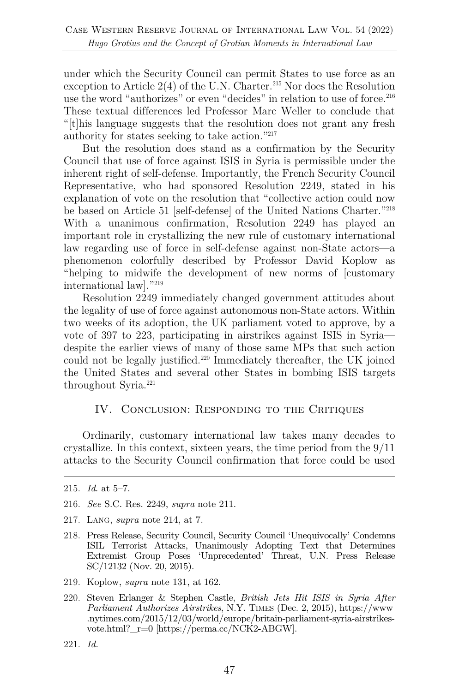under which the Security Council can permit States to use force as an exception to Article  $2(4)$  of the U.N. Charter.<sup>215</sup> Nor does the Resolution use the word "authorizes" or even "decides" in relation to use of force.<sup>216</sup> These textual differences led Professor Marc Weller to conclude that "[t]his language suggests that the resolution does not grant any fresh authority for states seeking to take action."217

But the resolution does stand as a confirmation by the Security Council that use of force against ISIS in Syria is permissible under the inherent right of self-defense. Importantly, the French Security Council Representative, who had sponsored Resolution 2249, stated in his explanation of vote on the resolution that "collective action could now be based on Article 51 [self-defense] of the United Nations Charter."218 With a unanimous confirmation, Resolution 2249 has played an important role in crystallizing the new rule of customary international law regarding use of force in self-defense against non-State actors—a phenomenon colorfully described by Professor David Koplow as "helping to midwife the development of new norms of [customary international law]."219

Resolution 2249 immediately changed government attitudes about the legality of use of force against autonomous non-State actors. Within two weeks of its adoption, the UK parliament voted to approve, by a vote of 397 to 223, participating in airstrikes against ISIS in Syria despite the earlier views of many of those same MPs that such action could not be legally justified.220 Immediately thereafter, the UK joined the United States and several other States in bombing ISIS targets throughout Syria.<sup>221</sup>

#### IV. CONCLUSION: RESPONDING TO THE CRITIQUES

Ordinarily, customary international law takes many decades to crystallize. In this context, sixteen years, the time period from the 9/11 attacks to the Security Council confirmation that force could be used

- 219. Koplow, *supra* note 131, at 162.
- 220. Steven Erlanger & Stephen Castle, *British Jets Hit ISIS in Syria After Parliament Authorizes Airstrikes*, N.Y. TIMES (Dec. 2, 2015), https://www .nytimes.com/2015/12/03/world/europe/britain-parliament-syria-airstrikesvote.html?  $r=0$  [https://perma.cc/NCK2-ABGW].

<sup>215.</sup> *Id*. at 5–7.

<sup>216.</sup> *See* S.C. Res. 2249, *supra* note 211.

<sup>217.</sup> LANG, *supra* note 214, at 7.

<sup>218.</sup> Press Release, Security Council, Security Council 'Unequivocally' Condemns ISIL Terrorist Attacks, Unanimously Adopting Text that Determines Extremist Group Poses 'Unprecedented' Threat, U.N. Press Release SC/12132 (Nov. 20, 2015).

<sup>221.</sup> *Id.*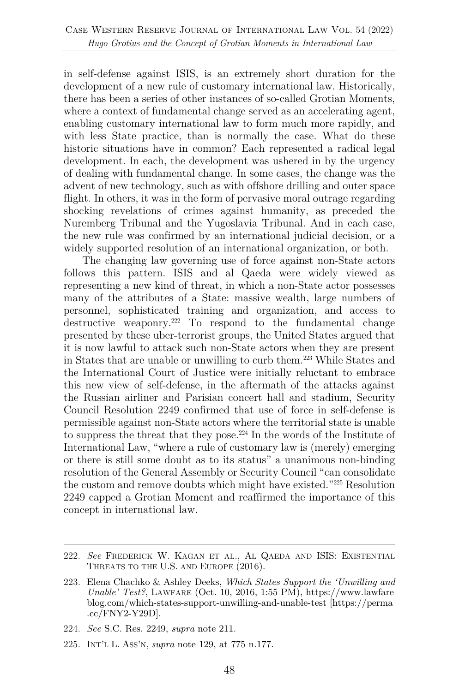in self-defense against ISIS, is an extremely short duration for the development of a new rule of customary international law. Historically, there has been a series of other instances of so-called Grotian Moments, where a context of fundamental change served as an accelerating agent, enabling customary international law to form much more rapidly, and with less State practice, than is normally the case. What do these historic situations have in common? Each represented a radical legal development. In each, the development was ushered in by the urgency of dealing with fundamental change. In some cases, the change was the advent of new technology, such as with offshore drilling and outer space flight. In others, it was in the form of pervasive moral outrage regarding shocking revelations of crimes against humanity, as preceded the Nuremberg Tribunal and the Yugoslavia Tribunal. And in each case, the new rule was confirmed by an international judicial decision, or a widely supported resolution of an international organization, or both.

The changing law governing use of force against non-State actors follows this pattern. ISIS and al Qaeda were widely viewed as representing a new kind of threat, in which a non-State actor possesses many of the attributes of a State: massive wealth, large numbers of personnel, sophisticated training and organization, and access to destructive weaponry.<sup>222</sup> To respond to the fundamental change presented by these uber-terrorist groups, the United States argued that it is now lawful to attack such non-State actors when they are present in States that are unable or unwilling to curb them.223 While States and the International Court of Justice were initially reluctant to embrace this new view of self-defense, in the aftermath of the attacks against the Russian airliner and Parisian concert hall and stadium, Security Council Resolution 2249 confirmed that use of force in self-defense is permissible against non-State actors where the territorial state is unable to suppress the threat that they pose.224 In the words of the Institute of International Law, "where a rule of customary law is (merely) emerging or there is still some doubt as to its status" a unanimous non-binding resolution of the General Assembly or Security Council "can consolidate the custom and remove doubts which might have existed."225 Resolution 2249 capped a Grotian Moment and reaffirmed the importance of this concept in international law.

<sup>222.</sup> *See* FREDERICK W. KAGAN ET AL., AL QAEDA AND ISIS: EXISTENTIAL THREATS TO THE U.S. AND EUROPE (2016).

<sup>223.</sup> Elena Chachko & Ashley Deeks, *Which States Support the 'Unwilling and Unable' Test?*, LAWFARE (Oct. 10, 2016, 1:55 PM), https://www.lawfare blog.com/which-states-support-unwilling-and-unable-test [https://perma .cc/FNY2-Y29D].

<sup>224.</sup> *See* S.C. Res. 2249, *supra* note 211.

<sup>225.</sup> INT'L L. ASS'N, *supra* note 129, at 775 n.177.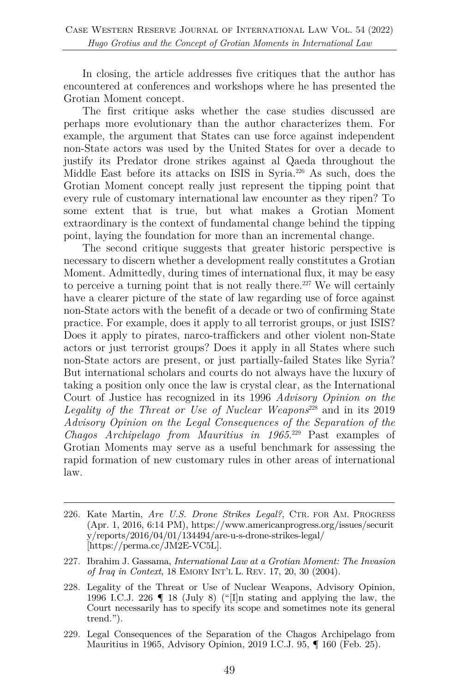In closing, the article addresses five critiques that the author has encountered at conferences and workshops where he has presented the Grotian Moment concept.

The first critique asks whether the case studies discussed are perhaps more evolutionary than the author characterizes them. For example, the argument that States can use force against independent non-State actors was used by the United States for over a decade to justify its Predator drone strikes against al Qaeda throughout the Middle East before its attacks on ISIS in Syria.226 As such, does the Grotian Moment concept really just represent the tipping point that every rule of customary international law encounter as they ripen? To some extent that is true, but what makes a Grotian Moment extraordinary is the context of fundamental change behind the tipping point, laying the foundation for more than an incremental change.

The second critique suggests that greater historic perspective is necessary to discern whether a development really constitutes a Grotian Moment. Admittedly, during times of international flux, it may be easy to perceive a turning point that is not really there.<sup>227</sup> We will certainly have a clearer picture of the state of law regarding use of force against non-State actors with the benefit of a decade or two of confirming State practice. For example, does it apply to all terrorist groups, or just ISIS? Does it apply to pirates, narco-traffickers and other violent non-State actors or just terrorist groups? Does it apply in all States where such non-State actors are present, or just partially-failed States like Syria? But international scholars and courts do not always have the luxury of taking a position only once the law is crystal clear, as the International Court of Justice has recognized in its 1996 *Advisory Opinion on the Legality of the Threat or Use of Nuclear Weapons*<sup>228</sup> and in its 2019 *Advisory Opinion on the Legal Consequences of the Separation of the Chagos Archipelago from Mauritius in 1965*. <sup>229</sup> Past examples of Grotian Moments may serve as a useful benchmark for assessing the rapid formation of new customary rules in other areas of international law.

- 226. Kate Martin, *Are U.S. Drone Strikes Legal?*, CTR. FOR AM. PROGRESS (Apr. 1, 2016, 6:14 PM), https://www.americanprogress.org/issues/securit y/reports/2016/04/01/134494/are-u-s-drone-strikes-legal/ [https://perma.cc/JM2E-VC5L].
- 227. Ibrahim J. Gassama, *International Law at a Grotian Moment: The Invasion of Iraq in Context*, 18 EMORY INT'L L. REV. 17, 20, 30 (2004).
- 228. Legality of the Threat or Use of Nuclear Weapons, Advisory Opinion, 1996 I.C.J. 226 ¶ 18 (July 8) ("[I]n stating and applying the law, the Court necessarily has to specify its scope and sometimes note its general trend.").
- 229. Legal Consequences of the Separation of the Chagos Archipelago from Mauritius in 1965, Advisory Opinion, 2019 I.C.J. 95, ¶ 160 (Feb. 25).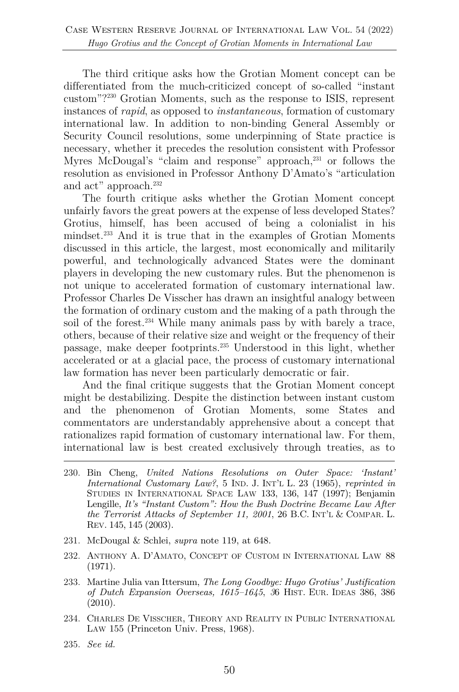The third critique asks how the Grotian Moment concept can be differentiated from the much-criticized concept of so-called "instant custom"?230 Grotian Moments, such as the response to ISIS, represent instances of *rapid*, as opposed to *instantaneous*, formation of customary international law. In addition to non-binding General Assembly or Security Council resolutions, some underpinning of State practice is necessary, whether it precedes the resolution consistent with Professor Myres McDougal's "claim and response" approach,<sup>231</sup> or follows the resolution as envisioned in Professor Anthony D'Amato's "articulation and act" approach.<sup>232</sup>

The fourth critique asks whether the Grotian Moment concept unfairly favors the great powers at the expense of less developed States? Grotius, himself, has been accused of being a colonialist in his mindset.233 And it is true that in the examples of Grotian Moments discussed in this article, the largest, most economically and militarily powerful, and technologically advanced States were the dominant players in developing the new customary rules. But the phenomenon is not unique to accelerated formation of customary international law. Professor Charles De Visscher has drawn an insightful analogy between the formation of ordinary custom and the making of a path through the soil of the forest.<sup>234</sup> While many animals pass by with barely a trace, others, because of their relative size and weight or the frequency of their passage, make deeper footprints.235 Understood in this light, whether accelerated or at a glacial pace, the process of customary international law formation has never been particularly democratic or fair.

And the final critique suggests that the Grotian Moment concept might be destabilizing. Despite the distinction between instant custom and the phenomenon of Grotian Moments, some States and commentators are understandably apprehensive about a concept that rationalizes rapid formation of customary international law. For them, international law is best created exclusively through treaties, as to

- 230. Bin Cheng, *United Nations Resolutions on Outer Space: 'Instant' International Customary Law?*, 5 IND. J. INT'L L. 23 (1965), *reprinted in*  STUDIES IN INTERNATIONAL SPACE LAW 133, 136, 147 (1997); Benjamin Lengille, *It's "Instant Custom": How the Bush Doctrine Became Law After the Terrorist Attacks of September 11, 2001*, 26 B.C. INT'L & COMPAR. L. REV. 145, 145 (2003).
- 231. McDougal & Schlei, *supra* note 119, at 648.
- 232. ANTHONY A. D'AMATO, CONCEPT OF CUSTOM IN INTERNATIONAL LAW 88 (1971).
- 233. Martine Julia van Ittersum, *The Long Goodbye: Hugo Grotius' Justification of Dutch Expansion Overseas, 1615–1645*, *3*6 HIST. EUR. IDEAS 386, 386 (2010).
- 234. CHARLES DE VISSCHER, THEORY AND REALITY IN PUBLIC INTERNATIONAL LAW 155 (Princeton Univ. Press, 1968).
- 235. *See id.*